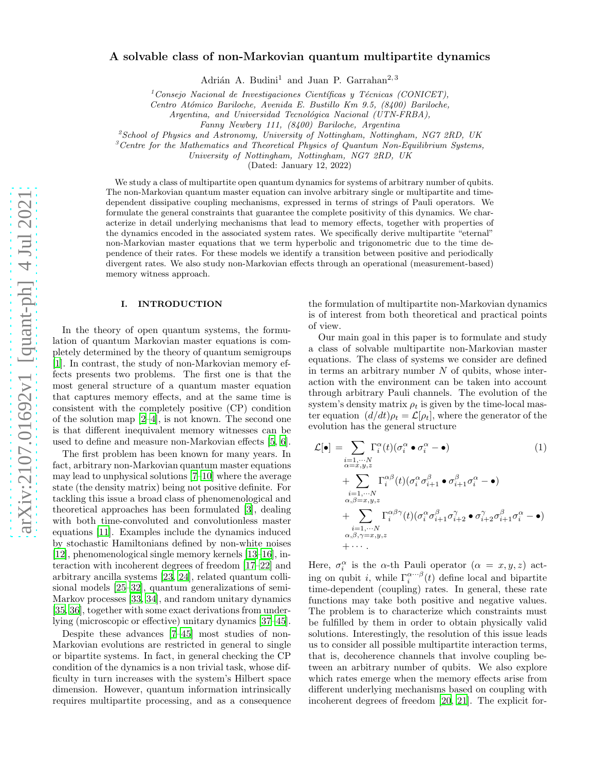# A solvable class of non-Markovian quantum multipartite dynamics

Adrián A. Budini<sup>1</sup> and Juan P. Garrahan<sup>2, 3</sup>

 $1$ Consejo Nacional de Investigaciones Científicas y Técnicas (CONICET),

Centro Atómico Bariloche, Avenida E. Bustillo Km 9.5, (8400) Bariloche,

Argentina, and Universidad Tecnológica Nacional (UTN-FRBA),

Fanny Newbery 111, (8400) Bariloche, Argentina

<sup>2</sup>School of Physics and Astronomy, University of Nottingham, Nottingham, NG7 2RD, UK

 ${}^{3}$ Centre for the Mathematics and Theoretical Physics of Quantum Non-Equilibrium Systems,

University of Nottingham, Nottingham, NG7 2RD, UK

(Dated: January 12, 2022)

We study a class of multipartite open quantum dynamics for systems of arbitrary number of qubits. The non-Markovian quantum master equation can involve arbitrary single or multipartite and timedependent dissipative coupling mechanisms, expressed in terms of strings of Pauli operators. We formulate the general constraints that guarantee the complete positivity of this dynamics. We characterize in detail underlying mechanisms that lead to memory effects, together with properties of the dynamics encoded in the associated system rates. We specifically derive multipartite "eternal" non-Markovian master equations that we term hyperbolic and trigonometric due to the time dependence of their rates. For these models we identify a transition between positive and periodically divergent rates. We also study non-Markovian effects through an operational (measurement-based) memory witness approach.

### I. INTRODUCTION

In the theory of open quantum systems, the formulation of quantum Markovian master equations is completely determined by the theory of quantum semigroups [\[1\]](#page-10-0). In contrast, the study of non-Markovian memory effects presents two problems. The first one is that the most general structure of a quantum master equation that captures memory effects, and at the same time is consistent with the completely positive (CP) condition of the solution map [\[2](#page-10-1)[–4\]](#page-10-2), is not known. The second one is that different inequivalent memory witnesses can be used to define and measure non-Markovian effects [\[5,](#page-10-3) [6\]](#page-10-4).

The first problem has been known for many years. In fact, arbitrary non-Markovian quantum master equations may lead to unphysical solutions [\[7](#page-10-5)[–10\]](#page-10-6) where the average state (the density matrix) being not positive definite. For tackling this issue a broad class of phenomenological and theoretical approaches has been formulated [\[3](#page-10-7)], dealing with both time-convoluted and convolutionless master equations [\[11\]](#page-10-8). Examples include the dynamics induced by stochastic Hamiltonians defined by non-white noises [\[12\]](#page-10-9), phenomenological single memory kernels [\[13](#page-10-10)[–16](#page-10-11)], interaction with incoherent degrees of freedom [\[17](#page-10-12)[–22](#page-11-0)] and arbitrary ancilla systems [\[23,](#page-11-1) [24\]](#page-11-2), related quantum collisional models [\[25–](#page-11-3)[32\]](#page-11-4), quantum generalizations of semi-Markov processes [\[33,](#page-11-5) [34\]](#page-11-6), and random unitary dynamics [\[35,](#page-11-7) [36\]](#page-11-8), together with some exact derivations from underlying (microscopic or effective) unitary dynamics [\[37](#page-11-9)[–45\]](#page-11-10).

Despite these advances [\[7](#page-10-5)[–45](#page-11-10)] most studies of non-Markovian evolutions are restricted in general to single or bipartite systems. In fact, in general checking the CP condition of the dynamics is a non trivial task, whose difficulty in turn increases with the system's Hilbert space dimension. However, quantum information intrinsically requires multipartite processing, and as a consequence

the formulation of multipartite non-Markovian dynamics is of interest from both theoretical and practical points of view.

Our main goal in this paper is to formulate and study a class of solvable multipartite non-Markovian master equations. The class of systems we consider are defined in terms an arbitrary number  $N$  of qubits, whose interaction with the environment can be taken into account through arbitrary Pauli channels. The evolution of the system's density matrix  $\rho_t$  is given by the time-local master equation  $(d/dt)\rho_t = \mathcal{L}[\rho_t]$ , where the generator of the evolution has the general structure

$$
\mathcal{L}[\bullet] = \sum_{\substack{i=1,\dots,N \\ \alpha=x,y,z}} \Gamma_i^{\alpha}(t) (\sigma_i^{\alpha} \bullet \sigma_i^{\alpha} - \bullet)
$$
\n
$$
+ \sum_{\substack{i=1,\dots,N \\ \alpha,\beta=x,y,z}} \Gamma_i^{\alpha\beta}(t) (\sigma_i^{\alpha} \sigma_{i+1}^{\beta} \bullet \sigma_{i+1}^{\beta} \sigma_i^{\alpha} - \bullet)
$$
\n
$$
+ \sum_{\substack{i=1,\dots,N \\ \alpha,\beta=x,y,z}} \Gamma_i^{\alpha\beta\gamma}(t) (\sigma_i^{\alpha} \sigma_{i+1}^{\beta} \sigma_{i+2}^{\gamma} \bullet \sigma_{i+2}^{\gamma} \sigma_{i+1}^{\beta} \sigma_i^{\alpha} - \bullet)
$$
\n
$$
+ \sum_{\substack{i=1,\dots,N \\ \alpha,\beta,\gamma=x,y,z}} \Gamma_i^{\alpha\beta\gamma}(t) (\sigma_i^{\alpha} \sigma_{i+1}^{\beta} \sigma_{i+2}^{\gamma} \bullet \sigma_{i+2}^{\beta} \sigma_{i+1}^{\beta} \sigma_i^{\alpha} - \bullet)
$$

Here,  $\sigma_i^{\alpha}$  is the  $\alpha$ -th Pauli operator  $(\alpha = x, y, z)$  acting on qubit *i*, while  $\Gamma_i^{\alpha \cdots \beta}(t)$  define local and bipartite time-dependent (coupling) rates. In general, these rate functions may take both positive and negative values. The problem is to characterize which constraints must be fulfilled by them in order to obtain physically valid solutions. Interestingly, the resolution of this issue leads us to consider all possible multipartite interaction terms, that is, decoherence channels that involve coupling between an arbitrary number of qubits. We also explore which rates emerge when the memory effects arise from different underlying mechanisms based on coupling with incoherent degrees of freedom [\[20,](#page-11-11) [21\]](#page-11-12). The explicit for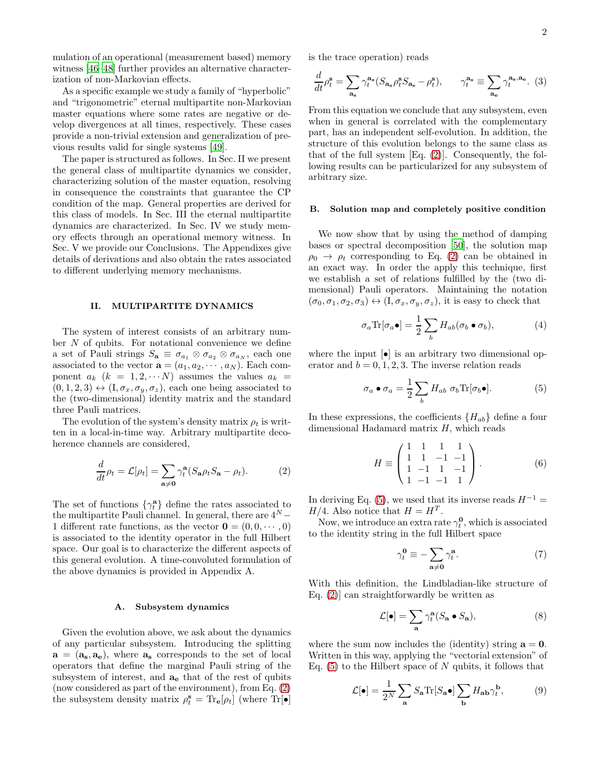mulation of an operational (measurement based) memory witness [\[46](#page-11-13)[–48](#page-11-14)] further provides an alternative characterization of non-Markovian effects.

As a specific example we study a family of "hyperbolic" and "trigonometric" eternal multipartite non-Markovian master equations where some rates are negative or develop divergences at all times, respectively. These cases provide a non-trivial extension and generalization of previous results valid for single systems [\[49](#page-12-0)].

The paper is structured as follows. In Sec. II we present the general class of multipartite dynamics we consider, characterizing solution of the master equation, resolving in consequence the constraints that guarantee the CP condition of the map. General properties are derived for this class of models. In Sec. III the eternal multipartite dynamics are characterized. In Sec. IV we study memory effects through an operational memory witness. In Sec. V we provide our Conclusions. The Appendixes give details of derivations and also obtain the rates associated to different underlying memory mechanisms.

### II. MULTIPARTITE DYNAMICS

The system of interest consists of an arbitrary number  $N$  of qubits. For notational convenience we define a set of Pauli strings  $S_{\mathbf{a}} \equiv \sigma_{a_1} \otimes \sigma_{a_2} \otimes \sigma_{a_N}$ , each one associated to the vector  $\mathbf{a} = (a_1, a_2, \cdots, a_N)$ . Each component  $a_k$   $(k = 1, 2, \cdots N)$  assumes the values  $a_k$  =  $(0, 1, 2, 3) \leftrightarrow (I, \sigma_x, \sigma_y, \sigma_z)$ , each one being associated to the (two-dimensional) identity matrix and the standard three Pauli matrices.

The evolution of the system's density matrix  $\rho_t$  is written in a local-in-time way. Arbitrary multipartite decoherence channels are considered,

<span id="page-1-0"></span>
$$
\frac{d}{dt}\rho_t = \mathcal{L}[\rho_t] = \sum_{\mathbf{a}\neq \mathbf{0}} \gamma_t^{\mathbf{a}} (S_{\mathbf{a}}\rho_t S_{\mathbf{a}} - \rho_t). \tag{2}
$$

The set of functions  $\{\gamma_t^{\mathbf{a}}\}$  define the rates associated to the multipartite Pauli channel. In general, there are  $4^N -$ 1 different rate functions, as the vector  $\mathbf{0} = (0, 0, \cdots, 0)$ is associated to the identity operator in the full Hilbert space. Our goal is to characterize the different aspects of this general evolution. A time-convoluted formulation of the above dynamics is provided in Appendix A.

#### A. Subsystem dynamics

Given the evolution above, we ask about the dynamics of any particular subsystem. Introducing the splitting  $a = (a_s, a_e)$ , where  $a_s$  corresponds to the set of local operators that define the marginal Pauli string of the subsystem of interest, and  $a_e$  that of the rest of qubits (now considered as part of the environment), from Eq. [\(2\)](#page-1-0) the subsystem density matrix  $\rho_t^{\mathbf{s}} = \text{Tr}_{\mathbf{e}}[\rho_t]$  (where  $\text{Tr}[\bullet]$  is the trace operation) reads

$$
\frac{d}{dt}\rho_t^{\mathbf{s}} = \sum_{\mathbf{a_s}} \gamma_t^{\mathbf{a_s}} (S_{\mathbf{a_s}} \rho_t^{\mathbf{s}} S_{\mathbf{a_s}} - \rho_t^{\mathbf{s}}), \qquad \gamma_t^{\mathbf{a_s}} \equiv \sum_{\mathbf{a_e}} \gamma_t^{\mathbf{a_s}, \mathbf{a_e}}. (3)
$$

From this equation we conclude that any subsystem, even when in general is correlated with the complementary part, has an independent self-evolution. In addition, the structure of this evolution belongs to the same class as that of the full system [Eq. [\(2\)](#page-1-0)]. Consequently, the following results can be particularized for any subsystem of arbitrary size.

## B. Solution map and completely positive condition

We now show that by using the method of damping bases or spectral decomposition [\[50\]](#page-12-1), the solution map  $\rho_0 \rightarrow \rho_t$  corresponding to Eq. [\(2\)](#page-1-0) can be obtained in an exact way. In order the apply this technique, first we establish a set of relations fulfilled by the (two dimensional) Pauli operators. Maintaining the notation  $(\sigma_0, \sigma_1, \sigma_2, \sigma_3) \leftrightarrow (I, \sigma_x, \sigma_y, \sigma_z)$ , it is easy to check that

<span id="page-1-4"></span>
$$
\sigma_a \text{Tr}[\sigma_a \bullet] = \frac{1}{2} \sum_b H_{ab}(\sigma_b \bullet \sigma_b), \tag{4}
$$

where the input  $\lceil \bullet \rceil$  is an arbitrary two dimensional operator and  $b = 0, 1, 2, 3$ . The inverse relation reads

<span id="page-1-1"></span>
$$
\sigma_a \bullet \sigma_a = \frac{1}{2} \sum_b H_{ab} \sigma_b \text{Tr}[\sigma_b \bullet]. \tag{5}
$$

In these expressions, the coefficients  ${H_{ab}}$  define a four dimensional Hadamard matrix  $H$ , which reads

<span id="page-1-2"></span>
$$
H \equiv \begin{pmatrix} 1 & 1 & 1 & 1 \\ 1 & 1 & -1 & -1 \\ 1 & -1 & 1 & -1 \\ 1 & -1 & -1 & 1 \end{pmatrix} . \tag{6}
$$

In deriving Eq. [\(5\)](#page-1-1), we used that its inverse reads  $H^{-1}$  =  $H/4$ . Also notice that  $H = H<sup>T</sup>$ .

Now, we introduce an extra rate  $\gamma_t^0$ , which is associated to the identity string in the full Hilbert space

<span id="page-1-3"></span>
$$
\gamma_t^0 \equiv -\sum_{\mathbf{a}\neq \mathbf{0}} \gamma_t^{\mathbf{a}}.\tag{7}
$$

With this definition, the Lindbladian-like structure of Eq. [\(2\)](#page-1-0)] can straightforwardly be written as

$$
\mathcal{L}[\bullet] = \sum_{\mathbf{a}} \gamma_t^{\mathbf{a}} (S_{\mathbf{a}} \bullet S_{\mathbf{a}}), \tag{8}
$$

where the sum now includes the (identity) string  $a = 0$ . Written in this way, applying the "vectorial extension" of Eq.  $(5)$  to the Hilbert space of N qubits, it follows that

$$
\mathcal{L}[\bullet] = \frac{1}{2^N} \sum_{\mathbf{a}} S_{\mathbf{a}} \text{Tr}[S_{\mathbf{a}} \bullet] \sum_{\mathbf{b}} H_{\mathbf{a}\mathbf{b}} \gamma_t^{\mathbf{b}},\tag{9}
$$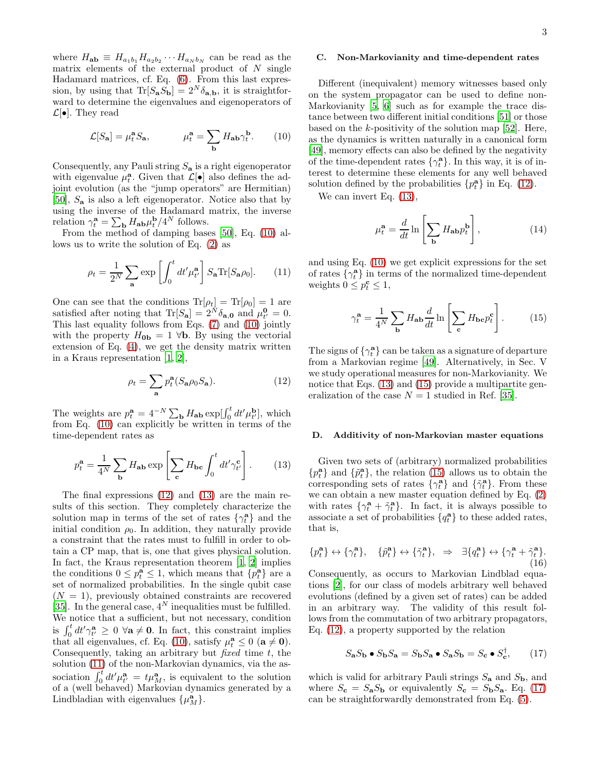where  $H_{ab} \equiv H_{a_1b_1} H_{a_2b_2} \cdots H_{a_Nb_N}$  can be read as the matrix elements of the external product of  $N$  single Hadamard matrices, cf. Eq. [\(6\)](#page-1-2). From this last expression, by using that  $\text{Tr}[S_{\mathbf{a}}S_{\mathbf{b}}] = 2^N \delta_{\mathbf{a},\mathbf{b}}$ , it is straightforward to determine the eigenvalues and eigenoperators of  $\mathcal{L}[\bullet]$ . They read

<span id="page-2-0"></span>
$$
\mathcal{L}[S_{\mathbf{a}}] = \mu_t^{\mathbf{a}} S_{\mathbf{a}}, \qquad \mu_t^{\mathbf{a}} = \sum_{\mathbf{b}} H_{\mathbf{a}\mathbf{b}} \gamma_t^{\mathbf{b}}.
$$
 (10)

Consequently, any Pauli string  $S_{\mathbf{a}}$  is a right eigenoperator with eigenvalue  $\mu_t^{\mathbf{a}}$ . Given that  $\mathcal{L}[\bullet]$  also defines the adjoint evolution (as the "jump operators" are Hermitian) [\[50\]](#page-12-1),  $S_a$  is also a left eigenoperator. Notice also that by using the inverse of the Hadamard matrix, the inverse relation  $\gamma_t^{\mathbf{a}} = \sum_{\mathbf{b}} H_{\mathbf{a}\mathbf{b}} \mu_t^{\mathbf{b}} / 4^N$  follows.

From the method of damping bases [\[50](#page-12-1)], Eq. [\(10\)](#page-2-0) allows us to write the solution of Eq. [\(2\)](#page-1-0) as

<span id="page-2-3"></span>
$$
\rho_t = \frac{1}{2^N} \sum_{\mathbf{a}} \exp\left[\int_0^t dt' \mu_{t'}^{\mathbf{a}}\right] S_{\mathbf{a}} \text{Tr}[S_{\mathbf{a}} \rho_0]. \tag{11}
$$

One can see that the conditions  $\text{Tr}[\rho_t] = \text{Tr}[\rho_0] = 1$  are satisfied after noting that  $\text{Tr}[S_{\mathbf{a}}] = 2^N \delta_{\mathbf{a},\mathbf{0}}$  and  $\mu_{t'}^{\mathbf{0}} = 0$ . This last equality follows from Eqs. [\(7\)](#page-1-3) and [\(10\)](#page-2-0) jointly with the property  $H_{0<sub>b</sub>} = 1 \forall$ b. By using the vectorial extension of Eq. [\(4\)](#page-1-4), we get the density matrix written in a Kraus representation [\[1](#page-10-0), [2](#page-10-1)],

<span id="page-2-1"></span>
$$
\rho_t = \sum_{\mathbf{a}} p_t^{\mathbf{a}} (S_{\mathbf{a}} \rho_0 S_{\mathbf{a}}). \tag{12}
$$

The weights are  $p_t^{\mathbf{a}} = 4^{-N} \sum_{\mathbf{b}} H_{\mathbf{a}\mathbf{b}} \exp[\int_0^t dt' \mu_{t'}^{\mathbf{b}}]$ , which from Eq. [\(10\)](#page-2-0) can explicitly be written in terms of the time-dependent rates as

<span id="page-2-2"></span>
$$
p_t^{\mathbf{a}} = \frac{1}{4^N} \sum_{\mathbf{b}} H_{\mathbf{a}\mathbf{b}} \exp\left[\sum_{\mathbf{c}} H_{\mathbf{b}\mathbf{c}} \int_0^t dt' \gamma_{t'}^{\mathbf{c}}\right].
$$
 (13)

The final expressions [\(12\)](#page-2-1) and [\(13\)](#page-2-2) are the main results of this section. They completely characterize the solution map in terms of the set of rates  $\{\gamma_t^{\mathbf{a}}\}$  and the initial condition  $\rho_0$ . In addition, they naturally provide a constraint that the rates must to fulfill in order to obtain a CP map, that is, one that gives physical solution. In fact, the Kraus representation theorem [\[1](#page-10-0), [2\]](#page-10-1) implies the conditions  $0 \leq p_t^{\mathbf{a}} \leq 1$ , which means that  $\{p_t^{\mathbf{a}}\}$  are a set of normalized probabilities. In the single qubit case  $(N = 1)$ , previously obtained constraints are recovered [\[35\]](#page-11-7). In the general case,  $4^N$  inequalities must be fulfilled. We notice that a sufficient, but not necessary, condition is  $\int_0^t dt' \gamma_{t'}^{\mathbf{a}} \geq 0 \; \forall \mathbf{a} \neq \mathbf{0}$ . In fact, this constraint implies that all eigenvalues, cf. Eq. [\(10\)](#page-2-0), satisfy  $\mu_t^{\mathbf{a}} \leq 0$  ( $\mathbf{a} \neq \mathbf{0}$ ). Consequently, taking an arbitrary but *fixed* time  $t$ , the solution [\(11\)](#page-2-3) of the non-Markovian dynamics, via the association  $\int_0^t dt' \mu_{t'}^{\mathbf{a}} = t \mu_M^{\mathbf{a}}$ , is equivalent to the solution of a (well behaved) Markovian dynamics generated by a Lindbladian with eigenvalues  $\{\mu_M^{\mathbf{a}}\}.$ 

### C. Non-Markovianity and time-dependent rates

Different (inequivalent) memory witnesses based only on the system propagator can be used to define non-Markovianity [\[5](#page-10-3), [6\]](#page-10-4) such as for example the trace distance between two different initial conditions [\[51](#page-12-2)] or those based on the  $k$ -positivity of the solution map [\[52](#page-12-3)]. Here, as the dynamics is written naturally in a canonical form [\[49\]](#page-12-0), memory effects can also be defined by the negativity of the time-dependent rates  $\{\gamma_t^{\mathbf{a}}\}$ . In this way, it is of interest to determine these elements for any well behaved solution defined by the probabilities  $\{p_t^{\mathbf{a}}\}$  in Eq. [\(12\)](#page-2-1).

We can invert Eq.  $(13)$ ,

$$
\mu_t^{\mathbf{a}} = \frac{d}{dt} \ln \left[ \sum_{\mathbf{b}} H_{\mathbf{a}\mathbf{b}} p_t^{\mathbf{b}} \right],\tag{14}
$$

and using Eq. [\(10\)](#page-2-0) we get explicit expressions for the set of rates  $\{\gamma_t^{\mathbf{a}}\}$  in terms of the normalized time-dependent weights  $0 \le p_t^{\mathbf{c}} \le 1$ ,

<span id="page-2-4"></span>
$$
\gamma_t^{\mathbf{a}} = \frac{1}{4^N} \sum_{\mathbf{b}} H_{\mathbf{a}\mathbf{b}} \frac{d}{dt} \ln \left[ \sum_{\mathbf{c}} H_{\mathbf{b}\mathbf{c}} p_t^{\mathbf{c}} \right]. \tag{15}
$$

The signs of  $\{\gamma_t^{\mathbf{a}}\}$  can be taken as a signature of departure from a Markovian regime [\[49](#page-12-0)]. Alternatively, in Sec. V we study operational measures for non-Markovianity. We notice that Eqs.  $(13)$  and  $(15)$  provide a multipartite generalization of the case  $N = 1$  studied in Ref. [\[35](#page-11-7)].

#### D. Additivity of non-Markovian master equations

Given two sets of (arbitrary) normalized probabilities  ${p_t^{\bf a}}$  and  ${\tilde{p}_t^{\bf a}}$ , the relation [\(15\)](#page-2-4) allows us to obtain the corresponding sets of rates  $\{\gamma_t^{\mathbf{a}}\}$  and  $\{\tilde{\gamma}_t^{\mathbf{a}}\}$ . From these we can obtain a new master equation defined by Eq. [\(2\)](#page-1-0) with rates  $\{\gamma_t^{\mathbf{a}} + \tilde{\gamma}_t^{\mathbf{a}}\}$ . In fact, it is always possible to associate a set of probabilities  $\{q_t^{\mathbf{a}}\}$  to these added rates, that is,

<span id="page-2-6"></span>
$$
\{p_t^{\mathbf{a}}\} \leftrightarrow \{\gamma_t^{\mathbf{a}}\}, \quad \{\tilde{p}_t^{\mathbf{a}}\} \leftrightarrow \{\tilde{\gamma}_t^{\mathbf{a}}\}, \quad \Rightarrow \quad \exists \{q_t^{\mathbf{a}}\} \leftrightarrow \{\gamma_t^{\mathbf{a}} + \tilde{\gamma}_t^{\mathbf{a}}\}.
$$
\n(16)

Consequently, as occurs to Markovian Lindblad equations [\[2\]](#page-10-1), for our class of models arbitrary well behaved evolutions (defined by a given set of rates) can be added in an arbitrary way. The validity of this result follows from the commutation of two arbitrary propagators, Eq. [\(12\)](#page-2-1), a property supported by the relation

<span id="page-2-5"></span>
$$
S_{\mathbf{a}}S_{\mathbf{b}} \bullet S_{\mathbf{b}}S_{\mathbf{a}} = S_{\mathbf{b}}S_{\mathbf{a}} \bullet S_{\mathbf{a}}S_{\mathbf{b}} = S_{\mathbf{c}} \bullet S_{\mathbf{c}}^{\dagger},\qquad(17)
$$

which is valid for arbitrary Pauli strings  $S_a$  and  $S_b$ , and where  $S_c = S_a S_b$  or equivalently  $S_c = S_b S_a$ . Eq. [\(17\)](#page-2-5) can be straightforwardly demonstrated from Eq. [\(5\)](#page-1-1).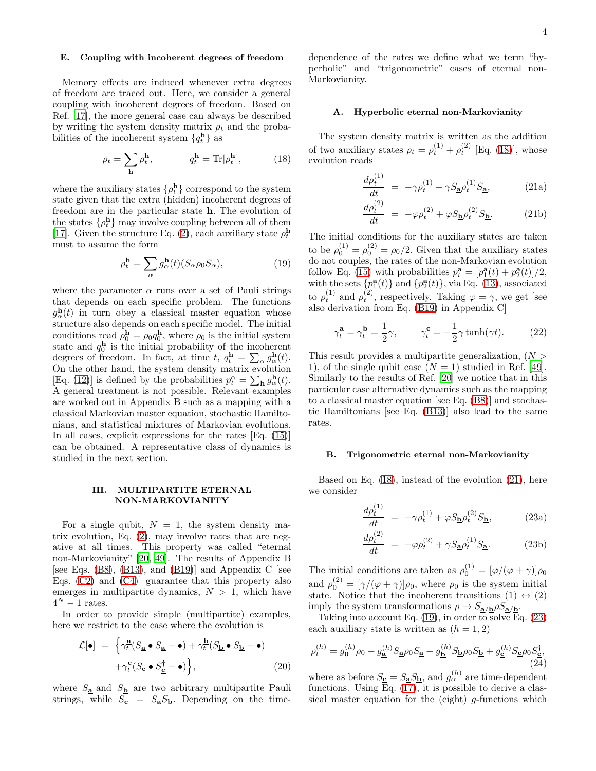### E. Coupling with incoherent degrees of freedom

Memory effects are induced whenever extra degrees of freedom are traced out. Here, we consider a general coupling with incoherent degrees of freedom. Based on Ref. [\[17\]](#page-10-12), the more general case can always be described by writing the system density matrix  $\rho_t$  and the probabilities of the incoherent system  $\{q_t^{\mathbf{h}}\}$  as

<span id="page-3-0"></span>
$$
\rho_t = \sum_{\mathbf{h}} \rho_t^{\mathbf{h}}, \qquad q_t^{\mathbf{h}} = \text{Tr}[\rho_t^{\mathbf{h}}], \qquad (18)
$$

where the auxiliary states  $\{\rho_t^{\mathbf{h}}\}$  correspond to the system state given that the extra (hidden) incoherent degrees of freedom are in the particular state h. The evolution of the states  $\{\rho_t^h\}$  may involve coupling between all of them [\[17\]](#page-10-12). Given the structure Eq. [\(2\)](#page-1-0), each auxiliary state  $\rho_t^{\mathbf{h}}$ must to assume the form

<span id="page-3-2"></span>
$$
\rho_t^{\mathbf{h}} = \sum_{\alpha} g_{\alpha}^{\mathbf{h}}(t) (S_{\alpha} \rho_0 S_{\alpha}), \tag{19}
$$

where the parameter  $\alpha$  runs over a set of Pauli strings that depends on each specific problem. The functions  $g_{\alpha}^{\mathbf{h}}(t)$  in turn obey a classical master equation whose structure also depends on each specific model. The initial conditions read  $\rho_0^{\mathbf{h}} = \rho_0 q_0^{\mathbf{h}}$ , where  $\rho_0$  is the initial system state and  $q_0^{\mathbf{h}}$  is the initial probability of the incoherent degrees of freedom. In fact, at time t,  $q_t^{\mathbf{h}} = \sum_{\alpha} g_{\alpha}^{\mathbf{h}}(t)$ . On the other hand, the system density matrix evolution [Eq. [\(12\)](#page-2-1)] is defined by the probabilities  $p_t^{\alpha} = \sum_{\mathbf{h}} g_{\alpha}^{\mathbf{h}}(t)$ . A general treatment is not possible. Relevant examples are worked out in Appendix B such as a mapping with a classical Markovian master equation, stochastic Hamiltonians, and statistical mixtures of Markovian evolutions. In all cases, explicit expressions for the rates [Eq. [\(15\)](#page-2-4)] can be obtained. A representative class of dynamics is studied in the next section.

### III. MULTIPARTITE ETERNAL NON-MARKOVIANITY

For a single qubit,  $N = 1$ , the system density matrix evolution, Eq. [\(2\)](#page-1-0), may involve rates that are negative at all times. This property was called "eternal non-Markovianity" [\[20,](#page-11-11) [49](#page-12-0)]. The results of Appendix B [see Eqs.  $(B8)$ ,  $(B13)$ , and  $(B19)$ ] and Appendix C [see Eqs. [\(C2\)](#page-9-0) and [\(C4\)](#page-9-1)] guarantee that this property also emerges in multipartite dynamics,  $N > 1$ , which have  $4^N - 1$  rates.

In order to provide simple (multipartite) examples, here we restrict to the case where the evolution is

$$
\mathcal{L}[\bullet] = \left\{ \gamma_t^{\underline{\mathbf{a}}}(S_{\underline{\mathbf{a}}} \bullet S_{\underline{\mathbf{a}}} - \bullet) + \gamma_t^{\underline{\mathbf{b}}}(S_{\underline{\mathbf{b}}} \bullet S_{\underline{\mathbf{b}}} - \bullet) \right. \left. + \gamma_t^{\underline{\mathbf{c}}}(S_{\underline{\mathbf{c}}} \bullet S_{\underline{\mathbf{c}}}^{\dagger} - \bullet) \right\},
$$
\n(20)

where  $S_{\mathbf{a}}$  and  $S_{\mathbf{b}}$  are two arbitrary multipartite Pauli strings, while  $S_{\underline{\mathbf{c}}} = S_{\underline{\mathbf{a}}} S_{\underline{\mathbf{b}}}$ . Depending on the timedependence of the rates we define what we term "hyperbolic" and "trigonometric" cases of eternal non-Markovianity.

#### A. Hyperbolic eternal non-Markovianity

The system density matrix is written as the addition of two auxiliary states  $\rho_t = \rho_t^{(1)} + \rho_t^{(2)}$  [Eq. [\(18\)](#page-3-0)], whose evolution reads

<span id="page-3-1"></span>
$$
\frac{d\rho_t^{(1)}}{dt} = -\gamma \rho_t^{(1)} + \gamma S_{\underline{\mathbf{a}}} \rho_t^{(1)} S_{\underline{\mathbf{a}}},\tag{21a}
$$

$$
\frac{d\rho_t^{(2)}}{dt} = -\varphi \rho_t^{(2)} + \varphi S_{\mathbf{D}} \rho_t^{(2)} S_{\mathbf{D}}.\tag{21b}
$$

The initial conditions for the auxiliary states are taken to be  $\rho_0^{(1)} = \rho_0^{(2)} = \rho_0/2$ . Given that the auxiliary states do not couples, the rates of the non-Markovian evolution follow Eq. [\(15\)](#page-2-4) with probabilities  $p_t^{\mathbf{a}} = [p_1^{\mathbf{a}}(t) + p_2^{\mathbf{a}}(t)]/2$ , with the sets  ${p_i^{\bf a}}(t)$  and  ${p_i^{\bf a}}(t)$ , via Eq. [\(13\)](#page-2-2), associated to  $\rho_t^{(1)}$  and  $\rho_t^{(2)}$ , respectively. Taking  $\varphi = \gamma$ , we get [see also derivation from Eq. [\(B19\)](#page-8-1) in Appendix C]

<span id="page-3-4"></span>
$$
\gamma_t^{\mathbf{a}} = \gamma_t^{\mathbf{b}} = \frac{1}{2}\gamma, \qquad \gamma_t^{\mathbf{c}} = -\frac{1}{2}\gamma \tanh(\gamma t). \tag{22}
$$

This result provides a multipartite generalization,  $(N >$ 1), of the single qubit case  $(N = 1)$  studied in Ref. [\[49\]](#page-12-0). Similarly to the results of Ref. [\[20\]](#page-11-11) we notice that in this particular case alternative dynamics such as the mapping to a classical master equation [see Eq. [\(B8\)](#page-7-0)] and stochastic Hamiltonians [see Eq. [\(B13\)](#page-8-0)] also lead to the same rates.

## B. Trigonometric eternal non-Markovianity

Based on Eq. [\(18\)](#page-3-0), instead of the evolution [\(21\)](#page-3-1), here we consider

<span id="page-3-3"></span>
$$
\frac{d\rho_t^{(1)}}{dt} = -\gamma \rho_t^{(1)} + \varphi S_{\mathbf{\underline{b}}} \rho_t^{(2)} S_{\mathbf{\underline{b}}},
$$
(23a)

$$
\frac{d\rho_t^{(2)}}{dt} = -\varphi \rho_t^{(2)} + \gamma S_{\underline{\mathbf{a}}} \rho_t^{(1)} S_{\underline{\mathbf{a}}}.\tag{23b}
$$

The initial conditions are taken as  $\rho_0^{(1)} = [\varphi/(\varphi + \gamma)]\rho_0$ and  $\rho_0^{(2)} = [\gamma/(\varphi + \gamma)]\rho_0$ , where  $\rho_0$  is the system initial state. Notice that the incoherent transitions  $(1) \leftrightarrow (2)$ imply the system transformations  $\rho \to S_{\mathbf{a}/\mathbf{b}} \rho S_{\mathbf{a}/\mathbf{b}}$ .

Taking into account Eq.  $(19)$ , in order to solve Eq.  $(23)$ each auxiliary state is written as  $(h = 1, 2)$ 

<span id="page-3-5"></span>
$$
\rho_t^{(h)} = g_0^{(h)}\rho_0 + g_{\underline{\mathbf{a}}}^{(h)}S_{\underline{\mathbf{a}}} \rho_0 S_{\underline{\mathbf{a}}} + g_{\underline{\mathbf{b}}}^{(h)}S_{\underline{\mathbf{b}}} \rho_0 S_{\underline{\mathbf{b}}} + g_{\underline{\mathbf{c}}}^{(h)}S_{\underline{\mathbf{c}}} \rho_0 S_{\underline{\mathbf{c}}}^{\dagger},
$$
\n(24)

where as before  $S_{\underline{\mathbf{c}}} = S_{\underline{\mathbf{a}}} S_{\underline{\mathbf{b}}}$ , and  $g_{\alpha}^{(h)}$  are time-dependent functions. Using Eq.  $(17)$ , it is possible to derive a classical master equation for the (eight)  $q$ -functions which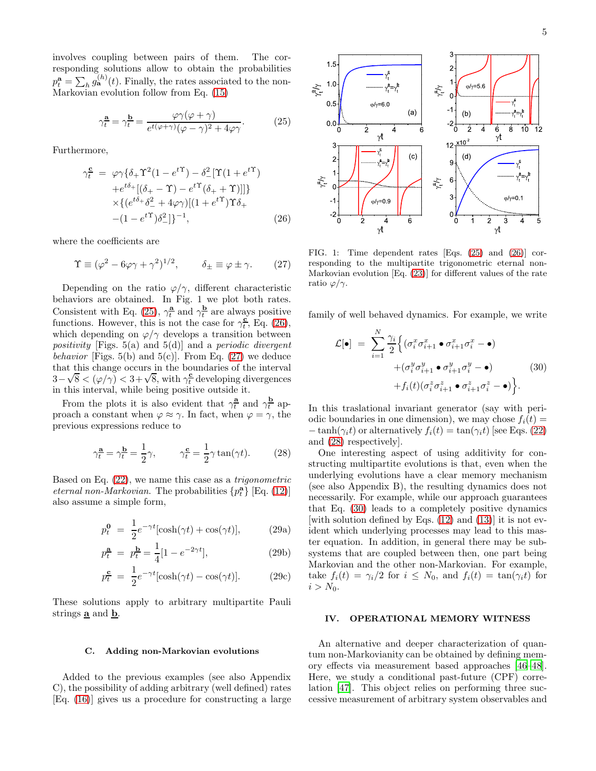involves coupling between pairs of them. The corresponding solutions allow to obtain the probabilities  $p_t^{\mathbf{a}} = \sum_h g_{\mathbf{a}}^{(h)}(t)$ . Finally, the rates associated to the non-Markovian evolution follow from Eq. [\(15\)](#page-2-4)

<span id="page-4-0"></span>
$$
\gamma_t^{\mathbf{a}} = \gamma_t^{\mathbf{b}} = \frac{\varphi \gamma (\varphi + \gamma)}{e^{t(\varphi + \gamma)} (\varphi - \gamma)^2 + 4\varphi \gamma}.
$$
 (25)

Furthermore,

<span id="page-4-1"></span>
$$
\gamma_t^{\mathbf{c}} = \varphi \gamma \{ \delta_+ \Upsilon^2 (1 - e^{t\Upsilon}) - \delta_-^2 [\Upsilon (1 + e^{t\Upsilon})
$$
  
 
$$
+ e^{t\delta_+} [(\delta_+ - \Upsilon) - e^{t\Upsilon} (\delta_+ + \Upsilon)] ] \}
$$
  
 
$$
\times \{ (e^{t\delta_+} \delta_-^2 + 4\varphi \gamma) [(1 + e^{t\Upsilon}) \Upsilon \delta_+ + (1 - e^{t\Upsilon}) \delta_-^2 ] \}^{-1},
$$
 (26)

where the coefficients are

<span id="page-4-2"></span>
$$
\Upsilon \equiv (\varphi^2 - 6\varphi\gamma + \gamma^2)^{1/2}, \qquad \delta_{\pm} \equiv \varphi \pm \gamma. \tag{27}
$$

Depending on the ratio  $\varphi/\gamma$ , different characteristic behaviors are obtained. In Fig. 1 we plot both rates. Consistent with Eq. [\(25\)](#page-4-0),  $\gamma_t^{\underline{\mathbf{a}}}$  and  $\gamma_t^{\underline{\mathbf{b}}}$  are always positive functions. However, this is not the case for  $\gamma_t^{\underline{c}}$ , Eq. [\(26\)](#page-4-1), which depending on  $\varphi/\gamma$  develops a transition between positivity [Figs. 5(a) and 5(d)] and a periodic divergent behavior [Figs. 5(b) and 5(c)]. From Eq.  $(27)$  we deduce that this change occurs in the boundaries of the interval  $3-\sqrt{8} < (\varphi/\gamma) < 3+\sqrt{8}$ , with  $\gamma_t^2$  developing divergences in this interval, while being positive outside it.

From the plots it is also evident that  $\gamma_t^{\underline{\mathbf{a}}}$  and  $\gamma_t^{\underline{\mathbf{b}}}$  approach a constant when  $\varphi \approx \gamma$ . In fact, when  $\varphi = \gamma$ , the previous expressions reduce to

<span id="page-4-3"></span>
$$
\gamma_t^{\mathbf{a}} = \gamma_t^{\mathbf{b}} = \frac{1}{2}\gamma, \qquad \gamma_t^{\mathbf{c}} = \frac{1}{2}\gamma \tan(\gamma t). \tag{28}
$$

Based on Eq. [\(22\)](#page-3-4), we name this case as a trigonometric *eternal non-Markovian.* The probabilities  $\{p_t^{\mathbf{a}}\}$  [Eq. [\(12\)](#page-2-1)] also assume a simple form,

$$
p_t^0 = \frac{1}{2}e^{-\gamma t}[\cosh(\gamma t) + \cos(\gamma t)], \qquad (29a)
$$

$$
p_t^{\mathbf{a}} = p_t^{\mathbf{b}} = \frac{1}{4} [1 - e^{-2\gamma t}], \tag{29b}
$$

$$
p_t^{\mathbf{c}} = \frac{1}{2} e^{-\gamma t} [\cosh(\gamma t) - \cos(\gamma t)]. \tag{29c}
$$

These solutions apply to arbitrary multipartite Pauli strings  $\underline{\mathbf{a}}$  and  $\underline{\mathbf{b}}$ .

#### C. Adding non-Markovian evolutions

Added to the previous examples (see also Appendix C), the possibility of adding arbitrary (well defined) rates [Eq. [\(16\)](#page-2-6)] gives us a procedure for constructing a large



FIG. 1: Time dependent rates [Eqs. [\(25\)](#page-4-0) and [\(26\)](#page-4-1)] corresponding to the multipartite trigonometric eternal non-Markovian evolution [Eq. [\(23\)](#page-3-3)] for different values of the rate ratio  $\varphi/\gamma$ .

family of well behaved dynamics. For example, we write

<span id="page-4-4"></span>
$$
\mathcal{L}[\bullet] = \sum_{i=1}^{N} \frac{\gamma_i}{2} \Big\{ (\sigma_i^x \sigma_{i+1}^x \bullet \sigma_{i+1}^x \sigma_i^x - \bullet) + (\sigma_i^y \sigma_{i+1}^y \bullet \sigma_{i+1}^y \sigma_i^y - \bullet) + f_i(t) (\sigma_i^z \sigma_{i+1}^z \bullet \sigma_{i+1}^z \sigma_i^z - \bullet) \Big\}.
$$
\n(30)

In this traslational invariant generator (say with periodic boundaries in one dimension), we may chose  $f_i(t) =$  $-\tanh(\gamma_i t)$  or alternatively  $f_i(t) = \tan(\gamma_i t)$  [see Eqs. [\(22\)](#page-3-4) and [\(28\)](#page-4-3) respectively].

One interesting aspect of using additivity for constructing multipartite evolutions is that, even when the underlying evolutions have a clear memory mechanism (see also Appendix B), the resulting dynamics does not necessarily. For example, while our approach guarantees that Eq. [\(30\)](#page-4-4) leads to a completely positive dynamics [with solution defined by Eqs. [\(12\)](#page-2-1) and [\(13\)](#page-2-2)] it is not evident which underlying processes may lead to this master equation. In addition, in general there may be subsystems that are coupled between then, one part being Markovian and the other non-Markovian. For example, take  $f_i(t) = \gamma_i/2$  for  $i \leq N_0$ , and  $f_i(t) = \tan(\gamma_i t)$  for  $i > N_0$ .

### IV. OPERATIONAL MEMORY WITNESS

An alternative and deeper characterization of quantum non-Markovianity can be obtained by defining memory effects via measurement based approaches [\[46](#page-11-13)[–48\]](#page-11-14). Here, we study a conditional past-future (CPF) correlation [\[47\]](#page-11-15). This object relies on performing three successive measurement of arbitrary system observables and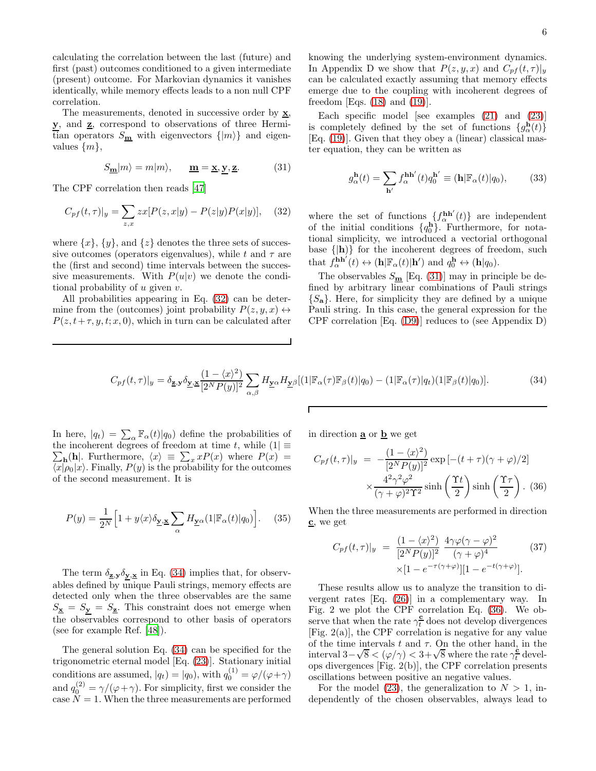calculating the correlation between the last (future) and first (past) outcomes conditioned to a given intermediate (present) outcome. For Markovian dynamics it vanishes identically, while memory effects leads to a non null CPF correlation.

The measurements, denoted in successive order by  $\underline{\mathbf{x}}$ , y, and  $\underline{z}$ , correspond to observations of three Hermitian operators  $S_{\mathbf{m}}$  with eigenvectors  $\{|m\rangle\}$  and eigenvalues  $\{m\},\$ 

<span id="page-5-1"></span>
$$
S_{\mathbf{m}}|m\rangle = m|m\rangle, \qquad \mathbf{m} = \mathbf{x}, \mathbf{y}, \mathbf{z}.
$$
 (31)

The CPF correlation then reads [\[47\]](#page-11-15)

<span id="page-5-0"></span>
$$
C_{pf}(t,\tau)|_y = \sum_{z,x} zx[P(z,x|y) - P(z|y)P(x|y)], \quad (32)
$$

where  $\{x\}$ ,  $\{y\}$ , and  $\{z\}$  denotes the three sets of successive outcomes (operators eigenvalues), while t and  $\tau$  are the (first and second) time intervals between the successive measurements. With  $P(u|v)$  we denote the conditional probability of  $u$  given  $v$ .

All probabilities appearing in Eq. [\(32\)](#page-5-0) can be determine from the (outcomes) joint probability  $P(z, y, x) \leftrightarrow$  $P(z, t+\tau, y, t; x, 0)$ , which in turn can be calculated after knowing the underlying system-environment dynamics. In Appendix D we show that  $P(z, y, x)$  and  $C_{pf}(t, \tau)|_y$ can be calculated exactly assuming that memory effects emerge due to the coupling with incoherent degrees of freedom [Eqs.  $(18)$  and  $(19)$ ].

Each specific model [see examples  $(21)$  and  $(23)$ ] is completely defined by the set of functions  $\{g_{\alpha}^{\mathbf{h}}(t)\}\$ [Eq. [\(19\)](#page-3-2)]. Given that they obey a (linear) classical master equation, they can be written as

<span id="page-5-5"></span>
$$
g_{\alpha}^{\mathbf{h}}(t) = \sum_{\mathbf{h}'} f_{\alpha}^{\mathbf{h}\mathbf{h}'}(t) q_0^{\mathbf{h}'} \equiv (\mathbf{h}|\mathbb{F}_{\alpha}(t)|q_0), \quad (33)
$$

where the set of functions  $\{f_{\alpha}^{\mathbf{h}\mathbf{h}'}(t)\}$  are independent of the initial conditions  $\{q_0^h\}$ . Furthermore, for notational simplicity, we introduced a vectorial orthogonal base  $\{|h\rangle\}$  for the incoherent degrees of freedom, such that  $f_{\alpha}^{\mathbf{h}\mathbf{h}'}(t) \leftrightarrow (\mathbf{h}|\mathbb{F}_{\alpha}(t)|\mathbf{h}')$  and  $q_0^{\mathbf{h}} \leftrightarrow (\mathbf{h}|q_0)$ .

The observables  $S_{\underline{\mathbf{m}}}$  [Eq. [\(31\)](#page-5-1)] may in principle be defined by arbitrary linear combinations of Pauli strings  ${S_{a}}$ . Here, for simplicity they are defined by a unique Pauli string. In this case, the general expression for the CPF correlation [Eq. [\(D9\)](#page-10-13)] reduces to (see Appendix D)

<span id="page-5-2"></span>
$$
C_{pf}(t,\tau)|_y = \delta_{\mathbf{Z},\mathbf{y}} \delta_{\mathbf{Y},\mathbf{X}} \frac{(1-\langle x \rangle^2)}{[2^N P(y)]^2} \sum_{\alpha,\beta} H_{\mathbf{Y}^{\alpha}} H_{\mathbf{Y}^{\beta}}[(1|\mathbb{F}_{\alpha}(\tau)\mathbb{F}_{\beta}(t)|q_0) - (1|\mathbb{F}_{\alpha}(\tau)|q_t)(1|\mathbb{F}_{\beta}(t)|q_0)]. \tag{34}
$$

 $\Gamma$ 

In here,  $|q_t\rangle = \sum_{\alpha} \mathbb{F}_{\alpha}(t)|q_0\rangle$  define the probabilities of the incoherent degrees of freedom at time t, while  $(1) \equiv$  $\sum_{\mathbf{h}}$ (**h**|. Furthermore,  $\langle x \rangle = \sum_{x} x P(x)$  where  $P(x) =$  $\langle x|\rho_0|x\rangle$ . Finally,  $P(y)$  is the probability for the outcomes of the second measurement. It is

$$
P(y) = \frac{1}{2^N} \Big[ 1 + y \langle x \rangle \delta_{\underline{y}, \underline{x}} \sum_{\alpha} H_{\underline{y}^{\alpha}}(1 | \mathbb{F}_{\alpha}(t) | q_0) \Big]. \tag{35}
$$

The term  $\delta_{\mathbf{z},\mathbf{y}}\delta_{\mathbf{y},\mathbf{x}}$  in Eq. [\(34\)](#page-5-2) implies that, for observables defined by unique Pauli strings, memory effects are detected only when the three observables are the same  $S_{\mathbf{x}} = S_{\mathbf{y}} = S_{\mathbf{z}}$ . This constraint does not emerge when the observables correspond to other basis of operators (see for example Ref. [\[48\]](#page-11-14)).

The general solution Eq. [\(34\)](#page-5-2) can be specified for the trigonometric eternal model [Eq. [\(23\)](#page-3-3)]. Stationary initial conditions are assumed,  $|q_t\rangle = |q_0\rangle$ , with  $q_0^{(1)} = \varphi/(\varphi + \gamma)$ and  $q_0^{(2)} = \gamma/(\varphi + \gamma)$ . For simplicity, first we consider the case  $N = 1$ . When the three measurements are performed in direction  $\underline{\mathbf{a}}$  or  $\underline{\mathbf{b}}$  we get

<span id="page-5-3"></span>
$$
C_{pf}(t,\tau)|_y = -\frac{(1-\langle x \rangle^2)}{[2^N P(y)]^2} \exp\left[-(t+\tau)(\gamma+\varphi)/2\right] \times \frac{4^2 \gamma^2 \varphi^2}{(\gamma+\varphi)^2 \Upsilon^2} \sinh\left(\frac{\Upsilon t}{2}\right) \sinh\left(\frac{\Upsilon \tau}{2}\right). (36)
$$

When the three measurements are performed in direction  $c$ , we get

<span id="page-5-4"></span>
$$
C_{pf}(t,\tau)|_y = \frac{(1-\langle x \rangle^2)}{[2^N P(y)]^2} \frac{4\gamma\varphi(\gamma-\varphi)^2}{(\gamma+\varphi)^4}
$$
(37)  
 
$$
\times [1 - e^{-\tau(\gamma+\varphi)}][1 - e^{-t(\gamma+\varphi)}].
$$

These results allow us to analyze the transition to divergent rates [Eq. [\(26\)](#page-4-1)] in a complementary way. In Fig. 2 we plot the CPF correlation Eq. [\(36\)](#page-5-3). We observe that when the rate  $\gamma_t^{\mathbf{c}}$  does not develop divergences [Fig. 2(a)], the CPF correlation is negative for any value of the time intervals  $t$  and  $\tau$ . On the other hand, in the interval  $3-\sqrt{8} < (\varphi/\gamma) < 3+\sqrt{8}$  where the rate  $\gamma_t^{\epsilon}$  develops divergences [Fig. 2(b)], the CPF correlation presents oscillations between positive an negative values.

For the model [\(23\)](#page-3-3), the generalization to  $N > 1$ , independently of the chosen observables, always lead to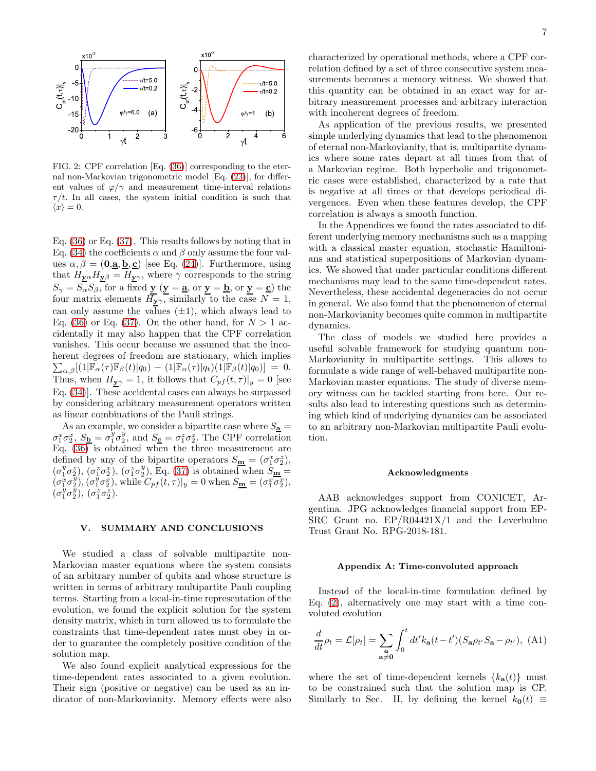

FIG. 2: CPF correlation [Eq. [\(36\)](#page-5-3)] corresponding to the eternal non-Markovian trigonometric model [Eq. [\(23\)](#page-3-3)], for different values of  $\varphi/\gamma$  and measurement time-interval relations  $\tau/t$ . In all cases, the system initial condition is such that  $\langle x \rangle = 0.$ 

Eq. [\(36\)](#page-5-3) or Eq. [\(37\)](#page-5-4). This results follows by noting that in Eq. [\(34\)](#page-5-2) the coefficients  $\alpha$  and  $\beta$  only assume the four values  $\alpha, \beta = (0, \underline{a}, \underline{b}, \underline{c})$  [see Eq. [\(24\)](#page-3-5)]. Furthermore, using that  $H_{\underline{\mathbf{y}}\alpha}H_{\underline{\mathbf{y}}\beta}=H_{\underline{\mathbf{y}}\gamma}$ , where  $\gamma$  corresponds to the string  $S_{\gamma} = S_{\alpha} S_{\beta}$ , for a fixed  $y (y = a)$ , or  $y = b$ , or  $y = c$ ) the four matrix elements  $H_{\mathbf{y}\gamma}$ , similarly to the case  $N=1$ , can only assume the values  $(\pm 1)$ , which always lead to Eq. [\(36\)](#page-5-3) or Eq. [\(37\)](#page-5-4). On the other hand, for  $N > 1$  accidentally it may also happen that the CPF correlation vanishes. This occur because we assumed that the incoherent degrees of freedom are stationary, which implies  $\sum_{\alpha,\beta} [(1|\mathbb{F}_{\alpha}(\tau)\mathbb{F}_{\beta}(t)|q_0) - (1|\mathbb{F}_{\alpha}(\tau)|q_t)(1|\mathbb{F}_{\beta}(t)|q_0)] = 0.$ Thus, when  $H_{\underline{\mathbf{y}}\gamma} = 1$ , it follows that  $C_{pf}(t, \tau)|_y = 0$  [see Eq. [\(34\)](#page-5-2)]. These accidental cases can always be surpassed by considering arbitrary measurement operators written as linear combinations of the Pauli strings.

As an example, we consider a bipartite case where  $S_{\underline{\mathbf{a}}} =$  $\sigma_1^x \sigma_2^x$ ,  $S_{\mathbf{b}} = \sigma_1^y \sigma_2^y$ , and  $S_{\mathbf{c}} = \sigma_1^z \sigma_2^z$ . The CPF correlation Eq. [\(36\)](#page-5-3) is obtained when the three measurement are defined by any of the bipartite operators  $S_{\mathbf{m}} = (\sigma_1^x \sigma_2^z),$  $(\sigma_1^y \sigma_2^z), (\sigma_1^z \sigma_2^x), (\sigma_1^z \sigma_2^y), \text{Eq. (37) is obtained when } \overline{S_{\mathbf{m}}} =$  $(\sigma_1^y \sigma_2^z), (\sigma_1^z \sigma_2^x), (\sigma_1^z \sigma_2^y), \text{Eq. (37) is obtained when } \overline{S_{\mathbf{m}}} =$  $(\sigma_1^y \sigma_2^z), (\sigma_1^z \sigma_2^x), (\sigma_1^z \sigma_2^y), \text{Eq. (37) is obtained when } \overline{S_{\mathbf{m}}} =$  $(\sigma_1^x \sigma_2^y), (\sigma_1^y \sigma_2^x),$  while  $C_{pf}(t, \tau)|_y = 0$  when  $S_{\underline{\mathbf{m}}} = (\sigma_1^x \overline{\sigma_2^x}),$  $(\sigma_1^{\bar y} \sigma_2^{\bar y}), (\sigma_1^{\bar z} \sigma_2^{\bar z}).$ 

### V. SUMMARY AND CONCLUSIONS

We studied a class of solvable multipartite non-Markovian master equations where the system consists of an arbitrary number of qubits and whose structure is written in terms of arbitrary multipartite Pauli coupling terms. Starting from a local-in-time representation of the evolution, we found the explicit solution for the system density matrix, which in turn allowed us to formulate the constraints that time-dependent rates must obey in order to guarantee the completely positive condition of the solution map.

We also found explicit analytical expressions for the time-dependent rates associated to a given evolution. Their sign (positive or negative) can be used as an indicator of non-Markovianity. Memory effects were also

characterized by operational methods, where a CPF correlation defined by a set of three consecutive system measurements becomes a memory witness. We showed that this quantity can be obtained in an exact way for arbitrary measurement processes and arbitrary interaction with incoherent degrees of freedom.

As application of the previous results, we presented simple underlying dynamics that lead to the phenomenon of eternal non-Markovianity, that is, multipartite dynamics where some rates depart at all times from that of a Markovian regime. Both hyperbolic and trigonometric cases were established, characterized by a rate that is negative at all times or that develops periodical divergences. Even when these features develop, the CPF correlation is always a smooth function.

In the Appendices we found the rates associated to different underlying memory mechanisms such as a mapping with a classical master equation, stochastic Hamiltonians and statistical superpositions of Markovian dynamics. We showed that under particular conditions different mechanisms may lead to the same time-dependent rates. Nevertheless, these accidental degeneracies do not occur in general. We also found that the phenomenon of eternal non-Markovianity becomes quite common in multipartite dynamics.

The class of models we studied here provides a useful solvable framework for studying quantum non-Markovianity in multipartite settings. This allows to formulate a wide range of well-behaved multipartite non-Markovian master equations. The study of diverse memory witness can be tackled starting from here. Our results also lead to interesting questions such as determining which kind of underlying dynamics can be associated to an arbitrary non-Markovian multipartite Pauli evolution.

#### Acknowledgments

AAB acknowledges support from CONICET, Argentina. JPG acknowledges financial support from EP-SRC Grant no. EP/R04421X/1 and the Leverhulme Trust Grant No. RPG-2018-181.

#### Appendix A: Time-convoluted approach

Instead of the local-in-time formulation defined by Eq. [\(2\)](#page-1-0), alternatively one may start with a time convoluted evolution

$$
\frac{d}{dt}\rho_t = \mathcal{L}[\rho_t] = \sum_{\substack{\mathbf{a} \\ \mathbf{a}\neq \mathbf{0}}} \int_0^t dt' k_\mathbf{a}(t - t') (S_\mathbf{a} \rho_{t'} S_\mathbf{a} - \rho_{t'}), \text{ (A1)}
$$

where the set of time-dependent kernels  $\{k_{a}(t)\}\$  must to be constrained such that the solution map is CP. Similarly to Sec. II, by defining the kernel  $k_0(t) \equiv$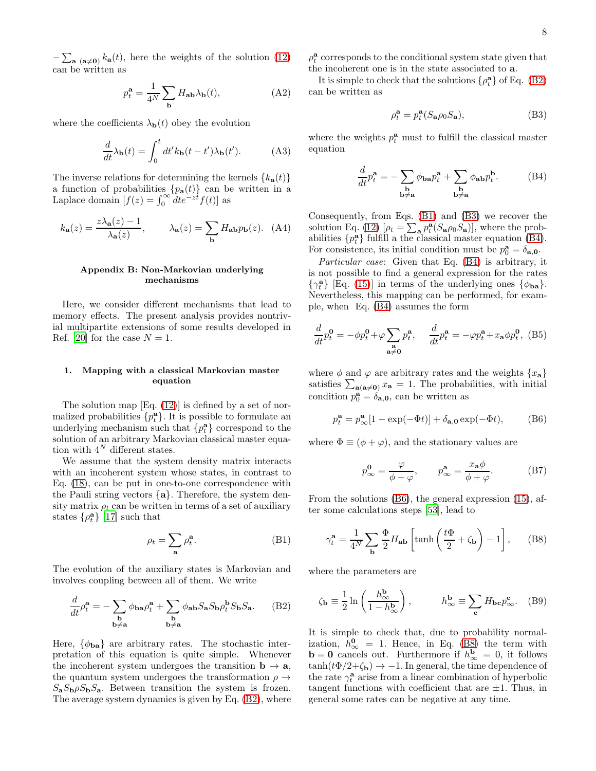$-\sum_{\mathbf{a}} \binom{\mathbf{a}\neq \mathbf{0}}{k_{\mathbf{a}}(t)}$ , here the weights of the solution [\(12\)](#page-2-1) can be written as

$$
p_t^{\mathbf{a}} = \frac{1}{4^N} \sum_{\mathbf{b}} H_{\mathbf{a}\mathbf{b}} \lambda_{\mathbf{b}}(t),
$$
 (A2)

where the coefficients  $\lambda_{\mathbf{b}}(t)$  obey the evolution

$$
\frac{d}{dt}\lambda_{\mathbf{b}}(t) = \int_0^t dt' k_{\mathbf{b}}(t - t')\lambda_{\mathbf{b}}(t'). \tag{A3}
$$

The inverse relations for determining the kernels  $\{k_{\mathbf{a}}(t)\}$ a function of probabilities  $\{p_a(t)\}$  can be written in a Laplace domain  $[f(z)] = \int_0^\infty dt e^{-zt} f(t)$  as

$$
k_{\mathbf{a}}(z) = \frac{z\lambda_{\mathbf{a}}(z) - 1}{\lambda_{\mathbf{a}}(z)}, \qquad \lambda_{\mathbf{a}}(z) = \sum_{\mathbf{b}} H_{\mathbf{a}\mathbf{b}} p_{\mathbf{b}}(z). \tag{A4}
$$

## Appendix B: Non-Markovian underlying mechanisms

Here, we consider different mechanisms that lead to memory effects. The present analysis provides nontrivial multipartite extensions of some results developed in Ref. [\[20\]](#page-11-11) for the case  $N = 1$ .

## 1. Mapping with a classical Markovian master equation

The solution map  $[Eq. (12)]$  $[Eq. (12)]$  $[Eq. (12)]$  is defined by a set of normalized probabilities  $\{p_t^{\mathbf{a}}\}$ . It is possible to formulate an underlying mechanism such that  $\{p_t^{\mathbf{a}}\}$  correspond to the solution of an arbitrary Markovian classical master equation with  $4^N$  different states.

We assume that the system density matrix interacts with an incoherent system whose states, in contrast to Eq. [\(18\)](#page-3-0), can be put in one-to-one correspondence with the Pauli string vectors {a}. Therefore, the system density matrix  $\rho_t$  can be written in terms of a set of auxiliary states  $\{\rho_t^{\mathbf{a}}\}$  [\[17\]](#page-10-12) such that

<span id="page-7-2"></span>
$$
\rho_t = \sum_{\mathbf{a}} \rho_t^{\mathbf{a}}.
$$
 (B1)

The evolution of the auxiliary states is Markovian and involves coupling between all of them. We write

<span id="page-7-1"></span>
$$
\frac{d}{dt}\rho_t^{\mathbf{a}} = -\sum_{\substack{\mathbf{b} \\ \mathbf{b}\neq \mathbf{a}}} \phi_{\mathbf{ba}} \rho_t^{\mathbf{a}} + \sum_{\substack{\mathbf{b} \\ \mathbf{b}\neq \mathbf{a}}} \phi_{\mathbf{ab}} S_{\mathbf{a}} S_{\mathbf{b}} \rho_t^{\mathbf{b}} S_{\mathbf{b}} S_{\mathbf{a}}.
$$
 (B2)

Here,  $\{\phi_{ba}\}\$ are arbitrary rates. The stochastic interpretation of this equation is quite simple. Whenever the incoherent system undergoes the transition  $\mathbf{b} \to \mathbf{a}$ , the quantum system undergoes the transformation  $\rho \rightarrow$  $S_a S_b \rho S_b S_a$ . Between transition the system is frozen. The average system dynamics is given by Eq. [\(B2\)](#page-7-1), where

 $\rho_t^{\mathbf{a}}$  corresponds to the conditional system state given that the incoherent one is in the state associated to a.

It is simple to check that the solutions  $\{\rho_t^{\mathbf{a}}\}$  of Eq. [\(B2\)](#page-7-1) can be written as

<span id="page-7-3"></span>
$$
\rho_t^{\mathbf{a}} = p_t^{\mathbf{a}}(S_{\mathbf{a}}\rho_0 S_{\mathbf{a}}),\tag{B3}
$$

where the weights  $p_t^{\mathbf{a}}$  must to fulfill the classical master equation

<span id="page-7-4"></span>
$$
\frac{d}{dt}p_t^{\mathbf{a}} = -\sum_{\substack{\mathbf{b} \\ \mathbf{b}\neq \mathbf{a}}} \phi_{\mathbf{b}\mathbf{a}} p_t^{\mathbf{a}} + \sum_{\substack{\mathbf{b} \\ \mathbf{b}\neq \mathbf{a}}} \phi_{\mathbf{a}\mathbf{b}} p_t^{\mathbf{b}}.
$$
 (B4)

Consequently, from Eqs. [\(B1\)](#page-7-2) and [\(B3\)](#page-7-3) we recover the solution Eq. [\(12\)](#page-2-1)  $[\rho_t = \sum_{\mathbf{a}} p_t^{\mathbf{a}} (S_{\mathbf{a}} \rho_0 S_{\mathbf{a}})]$ , where the probabilities  $\{p_t^a\}$  fulfill a the classical master equation [\(B4\)](#page-7-4). For consistence, its initial condition must be  $p_0^{\mathbf{a}} = \delta_{\mathbf{a},\mathbf{0}}$ .

Particular case: Given that Eq. [\(B4\)](#page-7-4) is arbitrary, it is not possible to find a general expression for the rates  $\{\gamma_t^{\mathbf{a}}\}$  [Eq. [\(15\)](#page-2-4)] in terms of the underlying ones  $\{\phi_{\mathbf{ba}}\}$ . Nevertheless, this mapping can be performed, for example, when Eq. [\(B4\)](#page-7-4) assumes the form

$$
\frac{d}{dt}p_t^0 = -\phi p_t^0 + \varphi \sum_{\substack{\mathbf{a} \\ \mathbf{a}\neq \mathbf{0}}} p_t^{\mathbf{a}}, \quad \frac{d}{dt}p_t^{\mathbf{a}} = -\varphi p_t^{\mathbf{a}} + x_{\mathbf{a}}\phi p_t^0, \text{ (B5)}
$$

where  $\phi$  and  $\varphi$  are arbitrary rates and the weights  $\{x_{a}\}\$ satisfies  $\sum_{\mathbf{a}(\mathbf{a}\neq\mathbf{0})} x_{\mathbf{a}} = 1$ . The probabilities, with initial condition  $p_0^{\mathbf{a}} = \delta_{\mathbf{a},\mathbf{0}}$ , can be written as

<span id="page-7-5"></span>
$$
p_t^{\mathbf{a}} = p_{\infty}^{\mathbf{a}} [1 - \exp(-\Phi t)] + \delta_{\mathbf{a},\mathbf{0}} \exp(-\Phi t), \quad (B6)
$$

where  $\Phi \equiv (\phi + \varphi)$ , and the stationary values are

<span id="page-7-7"></span>
$$
p_{\infty}^{\mathbf{0}} = \frac{\varphi}{\phi + \varphi}, \qquad p_{\infty}^{\mathbf{a}} = \frac{x_{\mathbf{a}}\phi}{\phi + \varphi}.
$$
 (B7)

From the solutions [\(B6\)](#page-7-5), the general expression [\(15\)](#page-2-4), after some calculations steps [\[53\]](#page-12-4), lead to

<span id="page-7-0"></span>
$$
\gamma_t^{\mathbf{a}} = \frac{1}{4^N} \sum_{\mathbf{b}} \frac{\Phi}{2} H_{\mathbf{a}\mathbf{b}} \left[ \tanh\left(\frac{t\Phi}{2} + \zeta_{\mathbf{b}}\right) - 1 \right], \quad (B8)
$$

where the parameters are

<span id="page-7-6"></span>
$$
\zeta_{\mathbf{b}} \equiv \frac{1}{2} \ln \left( \frac{h_{\infty}^{\mathbf{b}}}{1 - h_{\infty}^{\mathbf{b}}} \right), \qquad h_{\infty}^{\mathbf{b}} \equiv \sum_{\mathbf{c}} H_{\mathbf{b}\mathbf{c}} p_{\infty}^{\mathbf{c}}.
$$
 (B9)

It is simple to check that, due to probability normalization,  $h_{\infty}^{\mathbf{0}} = 1$ . Hence, in Eq. [\(B8\)](#page-7-0) the term with **b** = 0 cancels out. Furthermore if  $h^{\mathbf{b}}_{\infty} = 0$ , it follows  $tanh(t\Phi/2+\zeta_{\mathbf{b}}) \rightarrow -1$ . In general, the time dependence of the rate  $\gamma_t^{\mathbf{a}}$  arise from a linear combination of hyperbolic tangent functions with coefficient that are  $\pm 1$ . Thus, in general some rates can be negative at any time.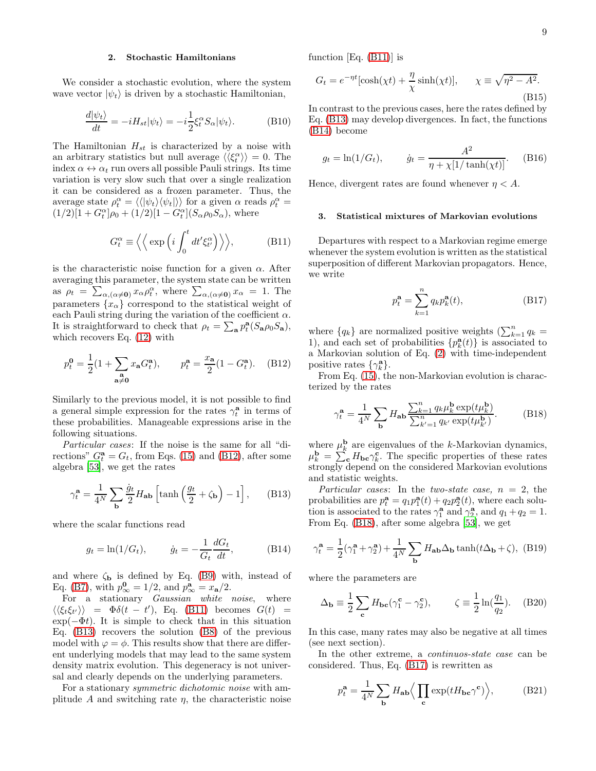## 2. Stochastic Hamiltonians

We consider a stochastic evolution, where the system wave vector  $|\psi_t\rangle$  is driven by a stochastic Hamiltonian,

$$
\frac{d|\psi_t\rangle}{dt} = -iH_{st}|\psi_t\rangle = -i\frac{1}{2}\xi_t^\alpha S_\alpha|\psi_t\rangle.
$$
 (B10)

The Hamiltonian  $H_{st}$  is characterized by a noise with an arbitrary statistics but null average  $\langle \langle \xi_t^{\alpha} \rangle \rangle = 0$ . The index  $\alpha \leftrightarrow \alpha_t$  run overs all possible Pauli strings. Its time variation is very slow such that over a single realization it can be considered as a frozen parameter. Thus, the average state  $\rho_t^{\alpha} = \langle \langle |\psi_t \rangle \langle \psi_t | \rangle \rangle$  for a given  $\alpha$  reads  $\rho_t^{\alpha} =$  $(1/2)[1 + G_t^{\alpha}]\rho_0 + (1/2)[1 - G_t^{\alpha}](S_{\alpha}\rho_0 S_{\alpha})$ , where

<span id="page-8-3"></span>
$$
G_t^{\alpha} \equiv \left\langle \left\langle \exp\left(i \int_0^t dt' \xi_{t'}^{\alpha} \right) \right\rangle \right\rangle, \tag{B11}
$$

is the characteristic noise function for a given  $\alpha$ . After averaging this parameter, the system state can be written as  $\rho_t = \sum_{\alpha, (\alpha \neq \mathbf{0})} x_{\alpha} \rho_t^{\alpha}$ , where  $\sum_{\alpha, (\alpha \neq \mathbf{0})} x_{\alpha} = 1$ . The parameters  $\{x_{\alpha}\}$  correspond to the statistical weight of each Pauli string during the variation of the coefficient  $\alpha$ . It is straightforward to check that  $\rho_t = \sum_{\mathbf{a}} p_t^{\mathbf{a}} (S_{\mathbf{a}} \rho_0 S_{\mathbf{a}}),$ which recovers Eq. [\(12\)](#page-2-1) with

<span id="page-8-2"></span>
$$
p_t^0 = \frac{1}{2}(1 + \sum_{\substack{\mathbf{a} \\ \mathbf{a} \neq \mathbf{0}}} x_{\mathbf{a}} G_t^{\mathbf{a}}), \qquad p_t^{\mathbf{a}} = \frac{x_{\mathbf{a}}}{2}(1 - G_t^{\mathbf{a}}). \quad (B12)
$$

Similarly to the previous model, it is not possible to find a general simple expression for the rates  $\gamma_t^{\mathbf{a}}$  in terms of these probabilities. Manageable expressions arise in the following situations.

Particular cases: If the noise is the same for all "directions"  $G_t^{\mathbf{a}} = G_t$ , from Eqs. [\(15\)](#page-2-4) and [\(B12\)](#page-8-2), after some algebra [\[53\]](#page-12-4), we get the rates

<span id="page-8-0"></span>
$$
\gamma_t^{\mathbf{a}} = \frac{1}{4^N} \sum_{\mathbf{b}} \frac{\dot{g}_t}{2} H_{\mathbf{a}\mathbf{b}} \left[ \tanh \left( \frac{g_t}{2} + \zeta_{\mathbf{b}} \right) - 1 \right], \qquad (B13)
$$

where the scalar functions read

<span id="page-8-4"></span>
$$
g_t = \ln(1/G_t),
$$
  $\dot{g}_t = -\frac{1}{G_t} \frac{dG_t}{dt},$  (B14)

and where  $\zeta_{\mathbf{b}}$  is defined by Eq. [\(B9\)](#page-7-6) with, instead of Eq. [\(B7\)](#page-7-7), with  $p_{\infty}^{\mathbf{0}} = 1/2$ , and  $p_{\infty}^{\mathbf{a}} = x_{\mathbf{a}}/2$ .

For a stationary *Gaussian white noise*, where  $\langle \langle \xi_t \xi_{t'} \rangle \rangle = \Phi \delta(t - t')$ , Eq. [\(B11\)](#page-8-3) becomes  $G(t)$  =  $\exp(-\Phi t)$ . It is simple to check that in this situation Eq. [\(B13\)](#page-8-0) recovers the solution [\(B8\)](#page-7-0) of the previous model with  $\varphi = \phi$ . This results show that there are different underlying models that may lead to the same system density matrix evolution. This degeneracy is not universal and clearly depends on the underlying parameters.

For a stationary symmetric dichotomic noise with amplitude  $A$  and switching rate  $\eta$ , the characteristic noise function  $[Eq. (B11)]$  $[Eq. (B11)]$  $[Eq. (B11)]$  is

$$
G_t = e^{-\eta t} [\cosh(\chi t) + \frac{\eta}{\chi} \sinh(\chi t)], \qquad \chi \equiv \sqrt{\eta^2 - A^2}.
$$
\n(B15)

In contrast to the previous cases, here the rates defined by Eq. [\(B13\)](#page-8-0) may develop divergences. In fact, the functions [\(B14\)](#page-8-4) become

$$
g_t = \ln(1/G_t),
$$
  $\dot{g}_t = \frac{A^2}{\eta + \chi[1/\tanh(\chi t)]}$ . (B16)

Hence, divergent rates are found whenever  $n < A$ .

#### 3. Statistical mixtures of Markovian evolutions

Departures with respect to a Markovian regime emerge whenever the system evolution is written as the statistical superposition of different Markovian propagators. Hence, we write

<span id="page-8-6"></span>
$$
p_t^{\mathbf{a}} = \sum_{k=1}^{n} q_k p_k^{\mathbf{a}}(t),
$$
 (B17)

where  ${q_k}$  are normalized positive weights  $(\sum_{k=1}^n q_k)$ 1), and each set of probabilities  $\{p_k^{\mathbf{a}}(t)\}\)$  is associated to a Markovian solution of Eq. [\(2\)](#page-1-0) with time-independent positive rates  $\{\gamma_k^{\mathbf{a}}\}.$ 

From Eq. [\(15\)](#page-2-4), the non-Markovian evolution is characterized by the rates

<span id="page-8-5"></span>
$$
\gamma_t^{\mathbf{a}} = \frac{1}{4^N} \sum_{\mathbf{b}} H_{\mathbf{a}\mathbf{b}} \frac{\sum_{k=1}^n q_k \mu_k^{\mathbf{b}} \exp(t \mu_k^{\mathbf{b}})}{\sum_{k'=1}^n q_{k'} \exp(t \mu_{k'}^{\mathbf{b}})}.
$$
(B18)

where  $\mu_k^{\mathbf{b}}$  are eigenvalues of the k-Markovian dynamics,  $\mu_k^{\mathbf{b}} = \sum_{\mathbf{c}}^{\mathbf{c}} H_{\mathbf{bc}} \gamma_k^{\mathbf{c}}$ . The specific properties of these rates strongly depend on the considered Markovian evolutions and statistic weights.

Particular cases: In the two-state case,  $n = 2$ , the probabilities are  $p_t^{\mathbf{a}} = q_1 p_1^{\mathbf{a}}(t) + q_2 p_2^{\mathbf{a}}(t)$ , where each solution is associated to the rates  $\gamma_1^{\mathbf{a}}$  and  $\gamma_2^{\mathbf{a}}$ , and  $q_1 + q_2 = 1$ . From Eq. [\(B18\)](#page-8-5), after some algebra [\[53](#page-12-4)], we get

<span id="page-8-1"></span>
$$
\gamma_t^{\mathbf{a}} = \frac{1}{2}(\gamma_1^{\mathbf{a}} + \gamma_2^{\mathbf{a}}) + \frac{1}{4^N} \sum_{\mathbf{b}} H_{\mathbf{a}\mathbf{b}} \Delta_{\mathbf{b}} \tanh(t\Delta_{\mathbf{b}} + \zeta), \text{ (B19)}
$$

where the parameters are

$$
\Delta_{\mathbf{b}} \equiv \frac{1}{2} \sum_{\mathbf{c}} H_{\mathbf{bc}} (\gamma_1^{\mathbf{c}} - \gamma_2^{\mathbf{c}}), \qquad \zeta \equiv \frac{1}{2} \ln(\frac{q_1}{q_2}). \quad (B20)
$$

In this case, many rates may also be negative at all times (see next section).

In the other extreme, a continuos-state case can be considered. Thus, Eq. [\(B17\)](#page-8-6) is rewritten as

$$
p_t^{\mathbf{a}} = \frac{1}{4^N} \sum_{\mathbf{b}} H_{\mathbf{a}\mathbf{b}} \Big\langle \prod_{\mathbf{c}} \exp(tH_{\mathbf{b}\mathbf{c}} \gamma^{\mathbf{c}}) \Big\rangle, \tag{B21}
$$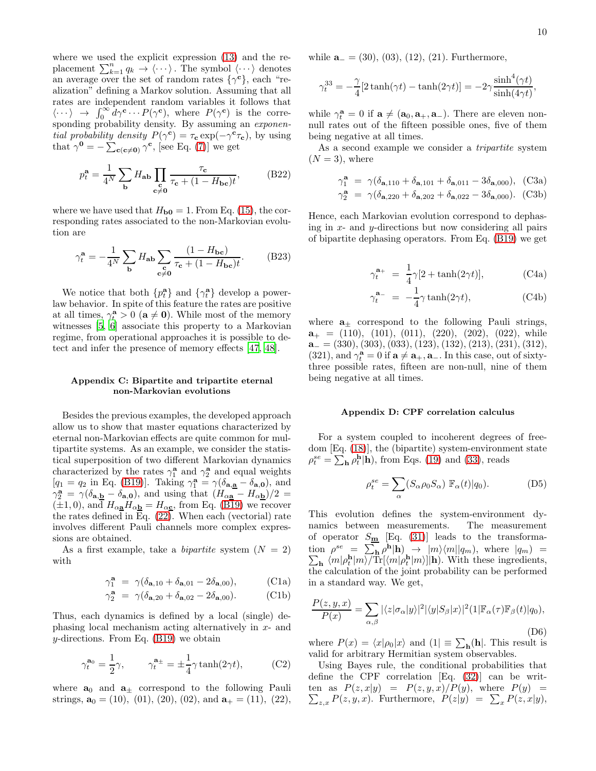where we used the explicit expression [\(13\)](#page-2-2) and the replacement  $\sum_{k=1}^{n} q_k \rightarrow \langle \cdots \rangle$ . The symbol  $\langle \cdots \rangle$  denotes an average over the set of random rates  $\{\gamma^{\mathbf{c}}\}$ , each "realization" defining a Markov solution. Assuming that all rates are independent random variables it follows that  $\langle \cdots \rangle \rightarrow \int_0^\infty d\gamma^c \cdots P(\gamma^c)$ , where  $P(\gamma^c)$  is the corresponding probability density. By assuming an exponential probability density  $P(\gamma^c) = \tau_c \exp(-\gamma^c \tau_c)$ , by using that  $\gamma^0 = -\sum_{c(c \neq 0)} \gamma^c$ , [see Eq. [\(7\)](#page-1-3)] we get

$$
p_t^{\mathbf{a}} = \frac{1}{4^N} \sum_{\mathbf{b}} H_{\mathbf{a}\mathbf{b}} \prod_{\mathbf{c}\neq \mathbf{0}} \frac{\tau_{\mathbf{c}}}{\tau_{\mathbf{c}} + (1 - H_{\mathbf{b}\mathbf{c}})t},
$$
(B22)

where we have used that  $H_{\text{b0}} = 1$ . From Eq. [\(15\)](#page-2-4), the corresponding rates associated to the non-Markovian evolution are

$$
\gamma_t^{\mathbf{a}} = -\frac{1}{4^N} \sum_{\mathbf{b}} H_{\mathbf{a}\mathbf{b}} \sum_{\substack{\mathbf{c} \\ \mathbf{c} \neq \mathbf{0}}} \frac{(1 - H_{\mathbf{b}\mathbf{c}})}{\tau_{\mathbf{c}} + (1 - H_{\mathbf{b}\mathbf{c}})t}.
$$
 (B23)

We notice that both  $\{p_t^{\mathbf{a}}\}$  and  $\{\gamma_t^{\mathbf{a}}\}$  develop a powerlaw behavior. In spite of this feature the rates are positive at all times,  $\gamma_t^{\mathbf{a}} > 0$  ( $\mathbf{a} \neq \mathbf{0}$ ). While most of the memory witnesses [\[5](#page-10-3), [6](#page-10-4)] associate this property to a Markovian regime, from operational approaches it is possible to detect and infer the presence of memory effects [\[47](#page-11-15), [48](#page-11-14)].

# Appendix C: Bipartite and tripartite eternal non-Markovian evolutions

Besides the previous examples, the developed approach allow us to show that master equations characterized by eternal non-Markovian effects are quite common for multipartite systems. As an example, we consider the statistical superposition of two different Markovian dynamics characterized by the rates  $\gamma_1^{\mathbf{a}}$  and  $\gamma_2^{\mathbf{a}}$  and equal weights  $[q_1 = q_2 \text{ in Eq. (B19)}].$  $[q_1 = q_2 \text{ in Eq. (B19)}].$  $[q_1 = q_2 \text{ in Eq. (B19)}].$  Taking  $\gamma_1^{\mathbf{a}} = \gamma(\delta_{\mathbf{a}, \mathbf{a}} - \delta_{\mathbf{a}, \mathbf{0}}),$  and  $\gamma_2^{\mathbf{a}} = \gamma (\delta_{\mathbf{a},\mathbf{b}} - \delta_{\mathbf{a},\mathbf{0}})$ , and using that  $(H_{\alpha\mathbf{a}} - H_{\alpha\mathbf{b}})/2 =$  $(\pm 1, 0)$ , and  $H_{\alpha}$   $H_{\alpha}$  =  $H_{\alpha}$  from Eq. [\(B19\)](#page-8-1) we recover the rates defined in Eq.  $(22)$ . When each (vectorial) rate involves different Pauli channels more complex expressions are obtained.

As a first example, take a *bipartite* system  $(N = 2)$ with

$$
\gamma_1^{\mathbf{a}} = \gamma(\delta_{\mathbf{a},10} + \delta_{\mathbf{a},01} - 2\delta_{\mathbf{a},00}), \quad (C1a)
$$

$$
\gamma_2^{\mathbf{a}} = \gamma(\delta_{\mathbf{a},20} + \delta_{\mathbf{a},02} - 2\delta_{\mathbf{a},00}). \tag{C1b}
$$

Thus, each dynamics is defined by a local (single) dephasing local mechanism acting alternatively in x- and y-directions. From Eq.  $(B19)$  we obtain

<span id="page-9-0"></span>
$$
\gamma_t^{\mathbf{a}_0} = \frac{1}{2}\gamma, \qquad \gamma_t^{\mathbf{a}_\pm} = \pm \frac{1}{4}\gamma \tanh(2\gamma t), \tag{C2}
$$

where  $\mathbf{a}_0$  and  $\mathbf{a}_{\pm}$  correspond to the following Pauli strings,  $\mathbf{a}_0 = (10)$ ,  $(01)$ ,  $(20)$ ,  $(02)$ , and  $\mathbf{a}_+ = (11)$ ,  $(22)$ , while  $\mathbf{a}_{-} = (30), (03), (12), (21)$ . Furthermore,

$$
\gamma_t^{33} = -\frac{\gamma}{4} [2 \tanh(\gamma t) - \tanh(2\gamma t)] = -2\gamma \frac{\sinh^4(\gamma t)}{\sinh(4\gamma t)},
$$

while  $\gamma_t^{\mathbf{a}} = 0$  if  $\mathbf{a} \neq (\mathbf{a}_0, \mathbf{a}_+, \mathbf{a}_-)$ . There are eleven nonnull rates out of the fifteen possible ones, five of them being negative at all times.

As a second example we consider a *tripartite* system  $(N=3)$ , where

$$
\begin{aligned}\n\gamma_1^{\mathbf{a}} &= \gamma(\delta_{\mathbf{a},110} + \delta_{\mathbf{a},101} + \delta_{\mathbf{a},011} - 3\delta_{\mathbf{a},000}), \quad \text{(C3a)}\\
\gamma_2^{\mathbf{a}} &= \gamma(\delta_{\mathbf{a},220} + \delta_{\mathbf{a},202} + \delta_{\mathbf{a},022} - 3\delta_{\mathbf{a},000}). \quad \text{(C3b)}\n\end{aligned}
$$

<span id="page-9-1"></span>Hence, each Markovian evolution correspond to dephasing in  $x$ - and  $y$ -directions but now considering all pairs of bipartite dephasing operators. From Eq. [\(B19\)](#page-8-1) we get

$$
\gamma_t^{\mathbf{a}_+} = \frac{1}{4}\gamma[2 + \tanh(2\gamma t)],\tag{C4a}
$$

$$
\gamma_t^{\mathbf{a}_-} = -\frac{1}{4} \gamma \tanh(2\gamma t),\tag{C4b}
$$

where  $a_{\pm}$  correspond to the following Pauli strings,  $a_{+} = (110), (101), (011), (220), (202), (022),$  while  $a_{-} = (330), (303), (033), (123), (132), (213), (231), (312),$ (321), and  $\gamma_t^{\mathbf{a}} = 0$  if  $\mathbf{a} \neq \mathbf{a}_+$ ,  $\mathbf{a}_-$ . In this case, out of sixtythree possible rates, fifteen are non-null, nine of them being negative at all times.

### Appendix D: CPF correlation calculus

For a system coupled to incoherent degrees of freedom [Eq. [\(18\)](#page-3-0)], the (bipartite) system-environment state  $\rho_t^{se} = \sum_{\mathbf{h}} \rho_t^{\mathbf{h}} | \mathbf{h}$ , from Eqs. [\(19\)](#page-3-2) and [\(33\)](#page-5-5), reads

$$
\rho_t^{se} = \sum_{\alpha} (S_{\alpha} \rho_0 S_{\alpha}) \mathbb{F}_{\alpha}(t) | q_0).
$$
 (D5)

This evolution defines the system-environment dynamics between measurements. The measurement of operator  $S_{\underline{\mathbf{m}}}$  [Eq. [\(31\)](#page-5-1)] leads to the transformation  $\rho^{se} = \sum_{\mathbf{h}} \rho^{\mathbf{h}}$  $\sum$  $|\mathbf{h}) \rightarrow |m\rangle \langle m||q_m)$ , where  $|q_m|$  =  $_{\mathbf{h}}$   $\langle m|\rho_t^{\mathbf{h}}|m\rangle/\text{Tr}[\langle m|\rho_t^{\mathbf{h}}|m\rangle]|\mathbf{h}$ . With these ingredients, the calculation of the joint probability can be performed in a standard way. We get,

<span id="page-9-2"></span>
$$
\frac{P(z,y,x)}{P(x)} = \sum_{\alpha,\beta} |\langle z|\sigma_{\alpha}|y\rangle|^2 |\langle y|S_{\beta}|x\rangle|^2 (1|\mathbb{F}_{\alpha}(\tau)\mathbb{F}_{\beta}(t)|q_0),
$$
\n(D6)

where  $P(x) = \langle x | \rho_0 | x \rangle$  and  $(1) \equiv \sum_{\mathbf{h}} \mathbf{h} |$ . This result is valid for arbitrary Hermitian system observables.

Using Bayes rule, the conditional probabilities that define the CPF correlation [Eq. [\(32\)](#page-5-0)] can be writ- $\sum_{z,x} P(z,y,x)$ . Furthermore,  $P(z|y) = \sum_{x} P(z,x|y)$ , ten as  $P(z, x|y) = P(z, y, x)/P(y)$ , where  $P(y) =$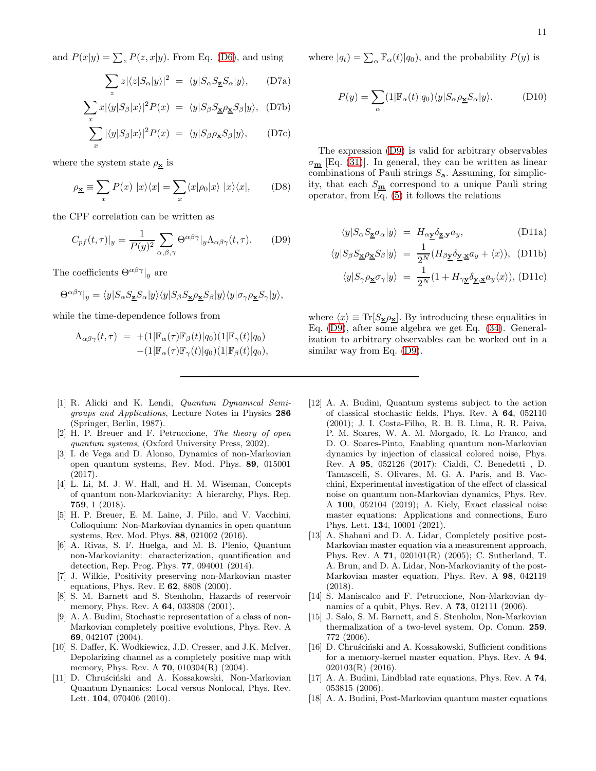and  $P(x|y) = \sum_{z} P(z, x|y)$ . From Eq. [\(D6\)](#page-9-2), and using

$$
\sum_{z} z|\langle z|S_{\alpha}|y\rangle|^{2} = \langle y|S_{\alpha}S_{\mathbf{Z}}S_{\alpha}|y\rangle, \qquad (D7a)
$$

$$
\sum_{x} x|\langle y|S_{\beta}|x\rangle|^{2} P(x) = \langle y|S_{\beta}S_{\mathbf{x}}\rho_{\mathbf{x}}S_{\beta}|y\rangle, (D7b)
$$

$$
\sum_{x} |\langle y|S_{\beta}|x\rangle|^{2} P(x) = \langle y|S_{\beta}\rho_{\mathbf{\underline{x}}}S_{\beta}|y\rangle, \qquad (D7c)
$$

where the system state  $\rho_{\mathbf{x}}$  is

$$
\rho_{\underline{x}} \equiv \sum_{x} P(x) |x\rangle\langle x| = \sum_{x} \langle x|\rho_0|x\rangle |x\rangle\langle x|, \quad (D8)
$$

the CPF correlation can be written as

<span id="page-10-13"></span>
$$
C_{pf}(t,\tau)|_y = \frac{1}{P(y)^2} \sum_{\alpha,\beta,\gamma} \Theta^{\alpha\beta\gamma}|_y \Lambda_{\alpha\beta\gamma}(t,\tau). \tag{D9}
$$

The coefficients  $\Theta^{\alpha\beta\gamma}|_y$  are

$$
\Theta^{\alpha\beta\gamma}|_{y} = \langle y|S_{\alpha}S_{\mathbf{Z}}S_{\alpha}|y\rangle\langle y|S_{\beta}S_{\mathbf{X}}\rho_{\mathbf{X}}S_{\beta}|y\rangle\langle y|\sigma_{\gamma}\rho_{\mathbf{X}}S_{\gamma}|y\rangle,
$$

while the time-dependence follows from

$$
\Lambda_{\alpha\beta\gamma}(t,\tau) = + (1|\mathbb{F}_{\alpha}(\tau)\mathbb{F}_{\beta}(t)|q_0)(1|\mathbb{F}_{\gamma}(t)|q_0) - (1|\mathbb{F}_{\alpha}(\tau)\mathbb{F}_{\gamma}(t)|q_0)(1|\mathbb{F}_{\beta}(t)|q_0),
$$

where  $|q_t\rangle = \sum_{\alpha} \mathbb{F}_{\alpha}(t)|q_0\rangle$ , and the probability  $P(y)$  is

$$
P(y) = \sum_{\alpha} (1|\mathbb{F}_{\alpha}(t)|q_0) \langle y|S_{\alpha}\rho_{\mathbf{\underline{x}}}S_{\alpha}|y\rangle.
$$
 (D10)

The expression [\(D9\)](#page-10-13) is valid for arbitrary observables  $\sigma_{\bf m}$  [Eq. [\(31\)](#page-5-1)]. In general, they can be written as linear combinations of Pauli strings  $S_{a}$ . Assuming, for simplicity, that each  $S_{\underline{\mathbf{m}}}$  correspond to a unique Pauli string operator, from Eq. [\(5\)](#page-1-1) it follows the relations

$$
\langle y|S_{\alpha}S_{\mathbf{Z}}\sigma_{\alpha}|y\rangle = H_{\alpha}\mathbf{y}\delta_{\mathbf{Z},\mathbf{y}}a_{y},\tag{D11a}
$$

$$
\langle y|S_{\beta}S_{\mathbf{\underline{x}}}\rho_{\mathbf{\underline{x}}}S_{\beta}|y\rangle = \frac{1}{2^{N}}(H_{\beta\mathbf{\underline{y}}}\delta_{\mathbf{\underline{y}},\mathbf{\underline{x}}}a_{y} + \langle x\rangle), \text{ (D11b)}
$$

$$
\langle y|S_{\gamma}\rho_{\underline{\mathbf{x}}}\sigma_{\gamma}|y\rangle = \frac{1}{2^{N}}(1 + H_{\gamma\underline{\mathbf{y}}}\delta_{\underline{\mathbf{y}},\underline{\mathbf{x}}}a_{y}\langle x\rangle), \text{(D11c)}
$$

where  $\langle x \rangle \equiv \text{Tr}[S_{\bf \underline{x}}\rho_{\bf \underline{x}}].$  By introducing these equalities in Eq. [\(D9\)](#page-10-13), after some algebra we get Eq. [\(34\)](#page-5-2). Generalization to arbitrary observables can be worked out in a similar way from Eq. [\(D9\)](#page-10-13).

- <span id="page-10-9"></span>[12] A. A. Budini, Quantum systems subject to the action of classical stochastic fields, Phys. Rev. A 64, 052110 (2001); J. I. Costa-Filho, R. B. B. Lima, R. R. Paiva, P. M. Soares, W. A. M. Morgado, R. Lo Franco, and D. O. Soares-Pinto, Enabling quantum non-Markovian dynamics by injection of classical colored noise, Phys. Rev. A 95, 052126 (2017); Cialdi, C. Benedetti , D. Tamascelli, S. Olivares, M. G. A. Paris, and B. Vacchini, Experimental investigation of the effect of classical noise on quantum non-Markovian dynamics, Phys. Rev. A 100, 052104 (2019); A. Kiely, Exact classical noise master equations: Applications and connections, Euro Phys. Lett. 134, 10001 (2021).
- <span id="page-10-10"></span>[13] A. Shabani and D. A. Lidar, Completely positive post-Markovian master equation via a measurement approach, Phys. Rev. A 71, 020101(R) (2005); C. Sutherland, T. A. Brun, and D. A. Lidar, Non-Markovianity of the post-Markovian master equation, Phys. Rev. A 98, 042119 (2018).
- [14] S. Maniscalco and F. Petruccione, Non-Markovian dynamics of a qubit, Phys. Rev. A 73, 012111 (2006).
- [15] J. Salo, S. M. Barnett, and S. Stenholm, Non-Markovian thermalization of a two-level system, Op. Comm. 259, 772 (2006).
- <span id="page-10-11"></span>[16] D. Chruściński and A. Kossakowski, Sufficient conditions for a memory-kernel master equation, Phys. Rev. A 94, 020103(R) (2016).
- <span id="page-10-12"></span>[17] A. A. Budini, Lindblad rate equations, Phys. Rev. A 74, 053815 (2006).
- [18] A. A. Budini, Post-Markovian quantum master equations
- <span id="page-10-0"></span>[1] R. Alicki and K. Lendi, Quantum Dynamical Semigroups and Applications, Lecture Notes in Physics 286 (Springer, Berlin, 1987).
- <span id="page-10-1"></span>[2] H. P. Breuer and F. Petruccione, The theory of open quantum systems, (Oxford University Press, 2002).
- <span id="page-10-7"></span>[3] I. de Vega and D. Alonso, Dynamics of non-Markovian open quantum systems, Rev. Mod. Phys. 89, 015001 (2017).
- <span id="page-10-2"></span>[4] L. Li, M. J. W. Hall, and H. M. Wiseman, Concepts of quantum non-Markovianity: A hierarchy, Phys. Rep. 759, 1 (2018).
- <span id="page-10-3"></span>[5] H. P. Breuer, E. M. Laine, J. Piilo, and V. Vacchini, Colloquium: Non-Markovian dynamics in open quantum systems, Rev. Mod. Phys. 88, 021002 (2016).
- <span id="page-10-4"></span>[6] A. Rivas, S. F. Huelga, and M. B. Plenio, Quantum non-Markovianity: characterization, quantification and detection, Rep. Prog. Phys. 77, 094001 (2014).
- <span id="page-10-5"></span>[7] J. Wilkie, Positivity preserving non-Markovian master equations, Phys. Rev. E 62, 8808 (2000).
- [8] S. M. Barnett and S. Stenholm, Hazards of reservoir memory, Phys. Rev. A **64**, 033808 (2001).
- [9] A. A. Budini, Stochastic representation of a class of non-Markovian completely positive evolutions, Phys. Rev. A 69, 042107 (2004).
- <span id="page-10-6"></span>[10] S. Daffer, K. Wodkiewicz, J.D. Cresser, and J.K. McIver, Depolarizing channel as a completely positive map with memory, Phys. Rev. A **70**, 010304(R) (2004).
- <span id="page-10-8"></span>[11] D. Chruściński and A. Kossakowski, Non-Markovian Quantum Dynamics: Local versus Nonlocal, Phys. Rev. Lett. **104**, 070406 (2010).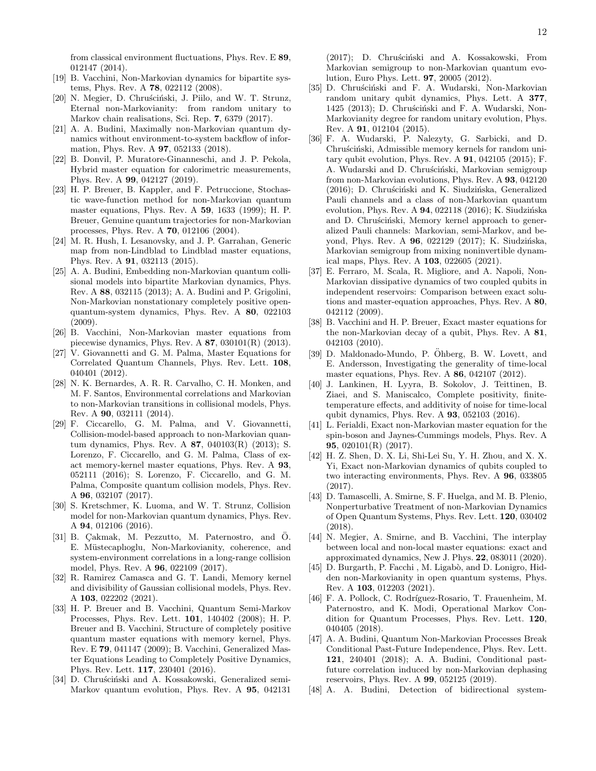from classical environment fluctuations, Phys. Rev. E 89, 012147 (2014).

- [19] B. Vacchini, Non-Markovian dynamics for bipartite systems, Phys. Rev. A 78, 022112 (2008).
- <span id="page-11-11"></span>[20] N. Megier, D. Chruściński, J. Piilo, and W. T. Strunz, Eternal non-Markovianity: from random unitary to Markov chain realisations, Sci. Rep. 7, 6379 (2017).
- <span id="page-11-12"></span>[21] A. A. Budini, Maximally non-Markovian quantum dynamics without environment-to-system backflow of information, Phys. Rev. A 97, 052133 (2018).
- <span id="page-11-0"></span>[22] B. Donvil, P. Muratore-Ginanneschi, and J. P. Pekola, Hybrid master equation for calorimetric measurements, Phys. Rev. A 99, 042127 (2019).
- <span id="page-11-1"></span>[23] H. P. Breuer, B. Kappler, and F. Petruccione, Stochastic wave-function method for non-Markovian quantum master equations, Phys. Rev. A 59, 1633 (1999); H. P. Breuer, Genuine quantum trajectories for non-Markovian processes, Phys. Rev. A 70, 012106 (2004).
- <span id="page-11-2"></span>[24] M. R. Hush, I. Lesanovsky, and J. P. Garrahan, Generic map from non-Lindblad to Lindblad master equations, Phys. Rev. A 91, 032113 (2015).
- <span id="page-11-3"></span>[25] A. A. Budini, Embedding non-Markovian quantum collisional models into bipartite Markovian dynamics, Phys. Rev. A 88, 032115 (2013); A. A. Budini and P. Grigolini, Non-Markovian nonstationary completely positive openquantum-system dynamics, Phys. Rev. A 80, 022103 (2009).
- [26] B. Vacchini, Non-Markovian master equations from piecewise dynamics, Phys. Rev. A  $87$ ,  $030101(R)$  (2013).
- [27] V. Giovannetti and G. M. Palma, Master Equations for Correlated Quantum Channels, Phys. Rev. Lett. 108, 040401 (2012).
- [28] N. K. Bernardes, A. R. R. Carvalho, C. H. Monken, and M. F. Santos, Environmental correlations and Markovian to non-Markovian transitions in collisional models, Phys. Rev. A 90, 032111 (2014).
- [29] F. Ciccarello, G. M. Palma, and V. Giovannetti, Collision-model-based approach to non-Markovian quantum dynamics, Phys. Rev. A 87, 040103(R) (2013); S. Lorenzo, F. Ciccarello, and G. M. Palma, Class of exact memory-kernel master equations, Phys. Rev. A 93, 052111 (2016); S. Lorenzo, F. Ciccarello, and G. M. Palma, Composite quantum collision models, Phys. Rev. A 96, 032107 (2017).
- [30] S. Kretschmer, K. Luoma, and W. T. Strunz, Collision model for non-Markovian quantum dynamics, Phys. Rev. A 94, 012106 (2016).
- [31] B. Cakmak, M. Pezzutto, M. Paternostro, and O. E. Müstecaplioglu, Non-Markovianity, coherence, and system-environment correlations in a long-range collision model, Phys. Rev. A 96, 022109 (2017).
- <span id="page-11-4"></span>[32] R. Ramirez Camasca and G. T. Landi, Memory kernel and divisibility of Gaussian collisional models, Phys. Rev. A 103, 022202 (2021).
- <span id="page-11-5"></span>[33] H. P. Breuer and B. Vacchini, Quantum Semi-Markov Processes, Phys. Rev. Lett. 101, 140402 (2008); H. P. Breuer and B. Vacchini, Structure of completely positive quantum master equations with memory kernel, Phys. Rev. E 79, 041147 (2009); B. Vacchini, Generalized Master Equations Leading to Completely Positive Dynamics, Phys. Rev. Lett. 117, 230401 (2016).
- <span id="page-11-6"></span>[34] D. Chruściński and A. Kossakowski, Generalized semi-Markov quantum evolution, Phys. Rev. A 95, 042131

(2017); D. Chruściński and A. Kossakowski, From Markovian semigroup to non-Markovian quantum evolution, Euro Phys. Lett. 97, 20005 (2012).

- <span id="page-11-7"></span>[35] D. Chruściński and F. A. Wudarski, Non-Markovian random unitary qubit dynamics, Phys. Lett. A 377, 1425 (2013); D. Chruściński and F. A. Wudarski, Non-Markovianity degree for random unitary evolution, Phys. Rev. A 91, 012104 (2015).
- <span id="page-11-8"></span>[36] F. A. Wudarski, P. Nalezyty, G. Sarbicki, and D. Chruściński, Admissible memory kernels for random unitary qubit evolution, Phys. Rev. A 91, 042105 (2015); F. A. Wudarski and D. Chruściński, Markovian semigroup from non-Markovian evolutions, Phys. Rev. A 93, 042120 (2016); D. Chruściński and K. Siudzińska, Generalized Pauli channels and a class of non-Markovian quantum evolution, Phys. Rev. A  $94$ , 022118 (2016); K. Siudzińska and D. Chruściński, Memory kernel approach to generalized Pauli channels: Markovian, semi-Markov, and beyond, Phys. Rev. A 96, 022129 (2017); K. Siudzińska, Markovian semigroup from mixing noninvertible dynamical maps, Phys. Rev. A 103, 022605 (2021).
- <span id="page-11-9"></span>[37] E. Ferraro, M. Scala, R. Migliore, and A. Napoli, Non-Markovian dissipative dynamics of two coupled qubits in independent reservoirs: Comparison between exact solutions and master-equation approaches, Phys. Rev. A 80, 042112 (2009).
- [38] B. Vacchini and H. P. Breuer, Exact master equations for the non-Markovian decay of a qubit, Phys. Rev. A 81, 042103 (2010).
- [39] D. Maldonado-Mundo, P. Öhberg, B. W. Lovett, and E. Andersson, Investigating the generality of time-local master equations, Phys. Rev. A 86, 042107 (2012).
- [40] J. Lankinen, H. Lyyra, B. Sokolov, J. Teittinen, B. Ziaei, and S. Maniscalco, Complete positivity, finitetemperature effects, and additivity of noise for time-local qubit dynamics, Phys. Rev. A 93, 052103 (2016).
- [41] L. Ferialdi, Exact non-Markovian master equation for the spin-boson and Jaynes-Cummings models, Phys. Rev. A 95, 020101(R) (2017).
- [42] H. Z. Shen, D. X. Li, Shi-Lei Su, Y. H. Zhou, and X. X. Yi, Exact non-Markovian dynamics of qubits coupled to two interacting environments, Phys. Rev. A 96, 033805 (2017).
- [43] D. Tamascelli, A. Smirne, S. F. Huelga, and M. B. Plenio, Nonperturbative Treatment of non-Markovian Dynamics of Open Quantum Systems, Phys. Rev. Lett. 120, 030402 (2018).
- [44] N. Megier, A. Smirne, and B. Vacchini, The interplay between local and non-local master equations: exact and approximated dynamics, New J. Phys. 22, 083011 (2020).
- <span id="page-11-10"></span>[45] D. Burgarth, P. Facchi, M. Ligabò, and D. Lonigro, Hidden non-Markovianity in open quantum systems, Phys. Rev. A 103, 012203 (2021).
- <span id="page-11-13"></span>[46] F. A. Pollock, C. Rodríguez-Rosario, T. Frauenheim, M. Paternostro, and K. Modi, Operational Markov Condition for Quantum Processes, Phys. Rev. Lett. 120, 040405 (2018).
- <span id="page-11-15"></span>[47] A. A. Budini, Quantum Non-Markovian Processes Break Conditional Past-Future Independence, Phys. Rev. Lett. 121, 240401 (2018); A. A. Budini, Conditional pastfuture correlation induced by non-Markovian dephasing reservoirs, Phys. Rev. A 99, 052125 (2019).
- <span id="page-11-14"></span>[48] A. A. Budini, Detection of bidirectional system-